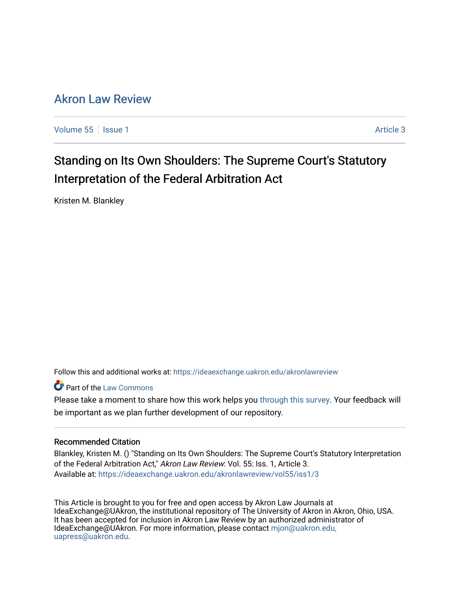# [Akron Law Review](https://ideaexchange.uakron.edu/akronlawreview)

[Volume 55](https://ideaexchange.uakron.edu/akronlawreview/vol55) | [Issue 1](https://ideaexchange.uakron.edu/akronlawreview/vol55/iss1) Article 3

# Standing on Its Own Shoulders: The Supreme Court's Statutory Interpretation of the Federal Arbitration Act

Kristen M. Blankley

Follow this and additional works at: [https://ideaexchange.uakron.edu/akronlawreview](https://ideaexchange.uakron.edu/akronlawreview?utm_source=ideaexchange.uakron.edu%2Fakronlawreview%2Fvol55%2Fiss1%2F3&utm_medium=PDF&utm_campaign=PDFCoverPages)

**Part of the [Law Commons](http://network.bepress.com/hgg/discipline/578?utm_source=ideaexchange.uakron.edu%2Fakronlawreview%2Fvol55%2Fiss1%2F3&utm_medium=PDF&utm_campaign=PDFCoverPages)** 

Please take a moment to share how this work helps you [through this survey](http://survey.az1.qualtrics.com/SE/?SID=SV_eEVH54oiCbOw05f&URL=https://ideaexchange.uakron.edu/akronlawreview/vol55/iss1/3). Your feedback will be important as we plan further development of our repository.

# Recommended Citation

Blankley, Kristen M. () "Standing on Its Own Shoulders: The Supreme Court's Statutory Interpretation of the Federal Arbitration Act," Akron Law Review: Vol. 55: Iss. 1, Article 3. Available at: [https://ideaexchange.uakron.edu/akronlawreview/vol55/iss1/3](https://ideaexchange.uakron.edu/akronlawreview/vol55/iss1/3?utm_source=ideaexchange.uakron.edu%2Fakronlawreview%2Fvol55%2Fiss1%2F3&utm_medium=PDF&utm_campaign=PDFCoverPages) 

This Article is brought to you for free and open access by Akron Law Journals at IdeaExchange@UAkron, the institutional repository of The University of Akron in Akron, Ohio, USA. It has been accepted for inclusion in Akron Law Review by an authorized administrator of IdeaExchange@UAkron. For more information, please contact [mjon@uakron.edu,](mailto:mjon@uakron.edu,%20uapress@uakron.edu) [uapress@uakron.edu.](mailto:mjon@uakron.edu,%20uapress@uakron.edu)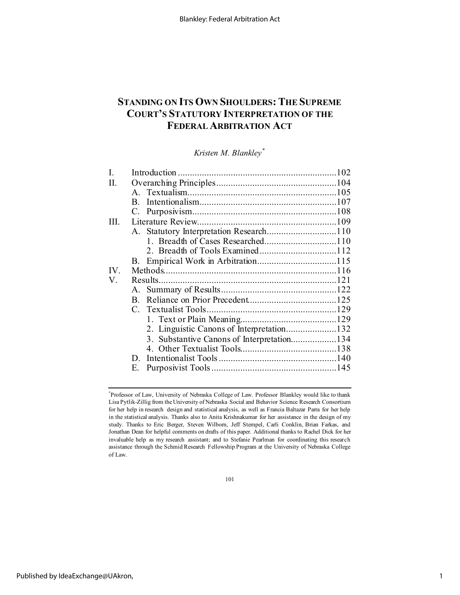# **STANDING ON ITS OWN SHOULDERS: THE SUPREME COURT'S STATUTORY INTERPRETATION OF THE FEDERAL ARBITRATION ACT**

*Kristen M. Blankley[\\*](#page-1-0)*

| $\mathbf{B}$ |                                                                                                                              |
|--------------|------------------------------------------------------------------------------------------------------------------------------|
|              |                                                                                                                              |
|              |                                                                                                                              |
|              |                                                                                                                              |
|              |                                                                                                                              |
|              |                                                                                                                              |
|              |                                                                                                                              |
|              |                                                                                                                              |
|              |                                                                                                                              |
|              |                                                                                                                              |
| $\mathbf{B}$ |                                                                                                                              |
|              |                                                                                                                              |
|              |                                                                                                                              |
|              |                                                                                                                              |
|              |                                                                                                                              |
|              |                                                                                                                              |
| D.           |                                                                                                                              |
| Е.           |                                                                                                                              |
|              | 1. Breadth of Cases Researched110<br>2. Linguistic Canons of Interpretation132<br>3. Substantive Canons of Interpretation134 |

101

<span id="page-1-0"></span><sup>\*</sup> Professor of Law, University of Nebraska College of Law. Professor Blankley would like to thank Lisa Pytlik-Zillig from the University of Nebraska Social and Behavior Science Research Consortium for her help in research design and statistical analysis, as well as Francia Baltazar Parra for her help in the statistical analysis. Thanks also to Anita Krishnakumar for her assistance in the design of my study. Thanks to Eric Berger, Steven Wilborn, Jeff Stempel, Carli Conklin, Brian Farkas, and Jonathan Dean for helpful comments on drafts of this paper. Additional thanks to Rachel Dick for her invaluable help as my research assistant; and to Stefanie Pearlman for coordinating this research assistance through the Schmid Research Fellowship Program at the University of Nebraska College of Law.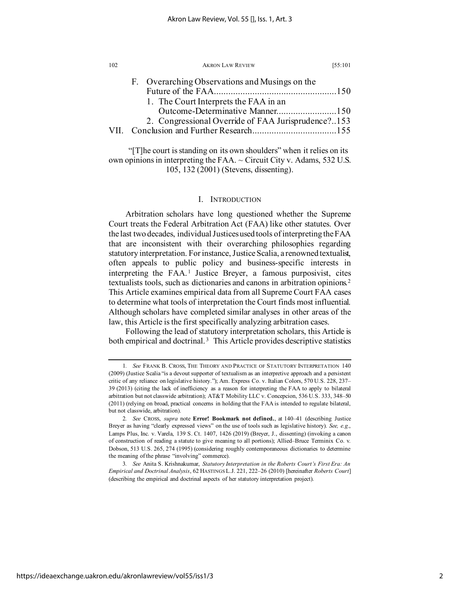| 102 | <b>AKRON LAW REVIEW</b>                                                                                                        | [55:101] |
|-----|--------------------------------------------------------------------------------------------------------------------------------|----------|
|     | F. Overarching Observations and Musings on the                                                                                 |          |
|     | 1. The Court Interprets the FAA in an<br>Outcome-Determinative Manner150<br>2. Congressional Override of FAA Jurisprudence?153 |          |
|     |                                                                                                                                |          |

"[T]he court is standing on its own shoulders" when it relies on its own opinions in interpreting the FAA.  $\sim$  Circuit City v. Adams, 532 U.S. 105, 132 (2001) (Stevens, dissenting).

# I. INTRODUCTION

Arbitration scholars have long questioned whether the Supreme Court treats the Federal Arbitration Act (FAA) like other statutes. Over the last two decades, individual Justices used tools of interpreting the FAA that are inconsistent with their overarching philosophies regarding statutory interpretation. For instance, Justice Scalia, a renowned textualist, often appeals to public policy and business-specific interests in interpreting the FAA.<sup>[1](#page-2-0)</sup> Justice Breyer, a famous purposivist, cites textualists tools, such as dictionaries and canons in arbitration opinions.[2](#page-2-1) This Article examines empirical data from all Supreme Court FAA cases to determine what tools of interpretation the Court finds most influential. Although scholars have completed similar analyses in other areas of the law, this Article is the first specifically analyzing arbitration cases.

<span id="page-2-3"></span>Following the lead of statutory interpretation scholars, this Article is both empirical and doctrinal.<sup>[3](#page-2-2)</sup> This Article provides descriptive statistics

<span id="page-2-0"></span><sup>1</sup>*. See* FRANK B. CROSS, THE THEORY AND PRACTICE OF STATUTORY INTERPRETATION 140 (2009) (Justice Scalia "is a devout supporter of textualism as an interpretive approach and a persistent critic of any reliance on legislative history."); Am. Express Co. v. Italian Colors, 570 U.S. 228, 237– 39 (2013) (citing the lack of inefficiency as a reason for interpreting the FAA to apply to bilateral arbitration but not classwide arbitration); AT&T Mobility LLC v. Concepcion, 536 U.S. 333, 348–50 (2011) (relying on broad, practical concerns in holding that the FAA is intended to regulate bilateral, but not classwide, arbitration).

<span id="page-2-1"></span><sup>2</sup>*. See* CROSS, *supra* note **Error! Bookmark not defined.**, at 140–41 (describing Justice Breyer as having "clearly expressed views" on the use of tools such as legislative history). *See, e.g.*, Lamps Plus, Inc. v. Varela, 139 S. Ct. 1407, 1426 (2019) (Breyer, J., dissenting) (invoking a canon of construction of reading a statute to give meaning to all portions); Allied–Bruce Terminix Co. v. Dobson, 513 U.S. 265, 274 (1995) (considering roughly contemporaneous dictionaries to determine the meaning of the phrase "involving" commerce).

<span id="page-2-2"></span><sup>3</sup>*. See* Anita S. Krishnakumar, *Statutory Interpretation in the Roberts Court's First Era: An Empirical and Doctrinal Analysis*, 62 HASTINGS L.J. 221, 222–26 (2010) [hereinafter *Roberts Court*] (describing the empirical and doctrinal aspects of her statutory interpretation project).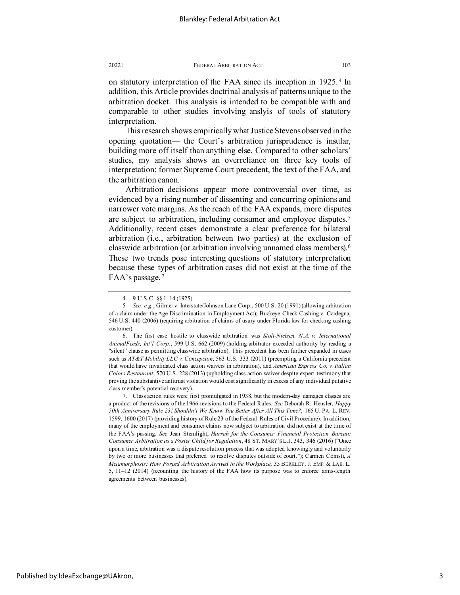on statutory interpretation of the FAA since its inception in 1925. [4](#page-3-0) In addition, this Article provides doctrinal analysis of patterns unique to the arbitration docket. This analysis is intended to be compatible with and comparable to other studies involving anslyis of tools of statutory interpretation.

This research shows empirically what Justice Stevens observed in the opening quotation— the Court's arbitration jurisprudence is insular, building more off itself than anything else. Compared to other scholars' studies, my analysis shows an overreliance on three key tools of interpretation: former Supreme Court precedent, the text of the FAA, and the arbitration canon.

Arbitration decisions appear more controversial over time, as evidenced by a rising number of dissenting and concurring opinions and narrower vote margins. As the reach of the FAA expands, more disputes are subject to arbitration, including consumer and employee disputes.<sup>[5](#page-3-1)</sup> Additionally, recent cases demonstrate a clear preference for bilateral arbitration (i.e., arbitration between two parties) at the exclusion of classwide arbitration (or arbitration involving unnamed class members).[6](#page-3-2) These two trends pose interesting questions of statutory interpretation because these types of arbitration cases did not exist at the time of the FAA's passage. [7](#page-3-3)

<span id="page-3-3"></span>7. Class action rules were first promulgated in 1938, but the modern-day damages classes are a product of the revisions of the 1966 revisions to the Federal Rules. *See* Deborah R. Hensler, *Happy 50th Anniversary Rule 23! Shouldn't We Know You Better After All This Time?*, 165 U. PA. L. REV. 1599, 1600 (2017) (providing history of Rule 23 of the Federal Rules of Civil Procedure). In addition, many of the employment and consumer claims now subject to arbitration did not exist at the time of the FAA's passing. *See* Jean Sternlight, *Hurrah for the Consumer Financial Protection Bureau: Consumer Arbitration as a Poster Child for Regulation*, 48 ST. MARY'S L.J. 343, 346 (2016) ("Once upon a time, arbitration was a dispute resolution process that was adopted knowingly and voluntarily by two or more businesses that preferred to resolve disputes outside of court."); Carmen Comsti, *A Metamorphosis: How Forced Arbitration Arrived in the Workplace*, 35 BERKLEY. J. EMP. & LAB. L. 5, 11–12 (2014) (recounting the history of the FAA how its purpose was to enforce arms-length agreements between businesses).

<sup>4.</sup> 9 U.S.C. §§ 1–14 (1925).

<span id="page-3-1"></span><span id="page-3-0"></span><sup>5</sup>*. See, e.g.*, Gilmer v. Interstate/Johnson Lane Corp., 500 U.S. 20 (1991) (allowing arbitration of a claim under the Age Discrimination in Employment Act); Buckeye Check Cashing v. Cardegna, 546 U.S. 440 (2006) (requiring arbitration of claims of usury under Florida law for checking cashing customer).

<span id="page-3-2"></span><sup>6.</sup> The first case hostile to classwide arbitration was *Stolt-Nielsen, N.A. v. International AnimalFeeds, Int'l Corp.*, 599 U.S. 662 (2009) (holding arbitrator exceeded authority by reading a "silent" clause as permitting classwide arbitration). This precedent has been further expanded in cases such as *AT&T Mobility LLC v. Concepcion*, 563 U.S. 333 (2011) (preempting a California precedent that would have invalidated class action waivers in arbitration), and *American Express Co. v. Italian Colors Restaurant*, 570 U.S. 228 (2013) (upholding class action waiver despite expert testimony that proving the substantive antitrust violation would cost significantly in excess of any individual putative class member's potential recovery).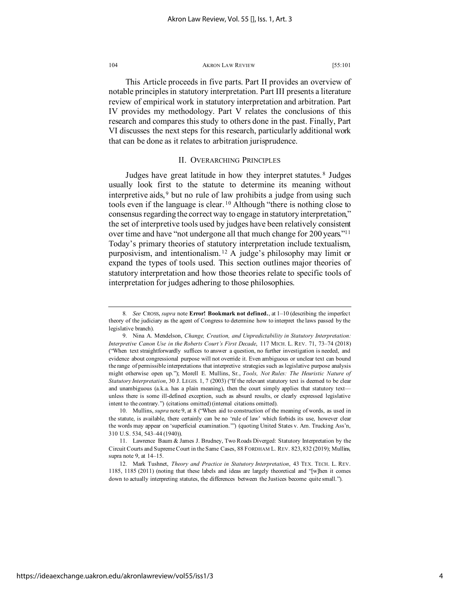This Article proceeds in five parts. Part II provides an overview of notable principles in statutory interpretation. Part III presents a literature review of empirical work in statutory interpretation and arbitration. Part IV provides my methodology. Part V relates the conclusions of this research and compares this study to others done in the past. Finally, Part VI discusses the next steps for this research, particularly additional work that can be done as it relates to arbitration jurisprudence.

# II. OVERARCHING PRINCIPLES

Judges have great latitude in how they interpret statutes. [8](#page-4-0) Judges usually look first to the statute to determine its meaning without interpretive aids, [9](#page-4-1) but no rule of law prohibits a judge from using such tools even if the language is clear. [10](#page-4-2) Although "there is nothing close to consensus regarding the correct way to engage in statutory interpretation," the set of interpretive tools used by judges have been relatively consistent over time and have "not undergone all that much change for 200 years.["11](#page-4-3) Today's primary theories of statutory interpretation include textualism, purposivism, and intentionalism. [12](#page-4-4) A judge's philosophy may limit or expand the types of tools used. This section outlines major theories of statutory interpretation and how those theories relate to specific tools of interpretation for judges adhering to those philosophies.

<span id="page-4-0"></span><sup>8</sup>*. See* CROSS, *supra* note **Error! Bookmark not defined.**, at 1–10 (describing the imperfect theory of the judiciary as the agent of Congress to determine how to interpret the laws passed by the legislative branch).

<span id="page-4-1"></span><sup>9.</sup> Nina A. Mendelson, *Change, Creation, and Unpredictability in Statutory Interpretation: Interpretive Canon Use in the Roberts Court's First Decade*, 117 MICH. L. REV. 71, 73–74 (2018) ("When text straightforwardly suffices to answer a question, no further investigation is needed, and evidence about congressional purpose will not override it. Even ambiguous or unclear text can bound the range of permissible interpretations that interpretive strategies such as legislative purpose analysis might otherwise open up."); Morell E. Mullins, Sr., *Tools, Not Rules: The Heuristic Nature of Statutory Interpretation*, 30 J. LEGIS. 1, 7 (2003) ("If the relevant statutory text is deemed to be clear and unambiguous (a.k.a. has a plain meaning), then the court simply applies that statutory text unless there is some ill-defined exception, such as absurd results, or clearly expressed legislative intent to the contrary.") (citations omitted) (internal citations omitted).

<span id="page-4-2"></span><sup>10.</sup> Mullins, *supra* note 9, at 8 ("When aid to construction of the meaning of words, as used in the statute, is available, there certainly can be no 'rule of law' which forbids its use, however clear the words may appear on 'superficial examination.'") (quoting United States v. Am. Trucking Ass'n, 310 U.S. 534, 543–44 (1940)).

<span id="page-4-3"></span><sup>11.</sup> Lawrence Baum & James J. Brudney, Two Roads Diverged: Statutory Interpretation by the Circuit Courts and Supreme Court in the Same Cases, 88 FORDHAM L. REV. 823, 832 (2019); Mullins, supra note 9, at 14–15.

<span id="page-4-4"></span><sup>12.</sup> Mark Tushnet, *Theory and Practice in Statutory Interpretation*, 43 TEX. TECH. L. REV. 1185, 1185 (2011) (noting that these labels and ideas are largely theoretical and "[w]hen it comes down to actually interpreting statutes, the differences between the Justices become quite small.").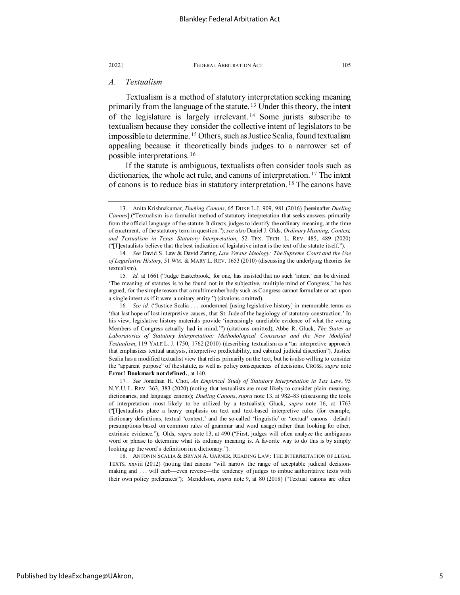# *A. Textualism*

Textualism is a method of statutory interpretation seeking meaning primarily from the language of the statute.<sup>[13](#page-5-0)</sup> Under this theory, the intent of the legislature is largely irrelevant. [14](#page-5-1) Some jurists subscribe to textualism because they consider the collective intent of legislators to be impossible to determine. [15](#page-5-2) Others, such as Justice Scalia, found textualism appealing because it theoretically binds judges to a narrower set of possible interpretations. [16](#page-5-3)

If the statute is ambiguous, textualists often consider tools such as dictionaries, the whole act rule, and canons of interpretation. [17](#page-5-4) The intent of canons is to reduce bias in statutory interpretation. [18](#page-5-5) The canons have

<span id="page-5-0"></span><sup>13.</sup> Anita Krishnakumar, *Dueling Canons*, 65 DUKE L.J. 909, 981 (2016) [hereinafter *Dueling Canons*] ("Textualism is a formalist method of statutory interpretation that seeks answers primarily from the official language of the statute. It directs judges to identify the ordinary meaning, at the time of enactment, of the statutory term in question."); *see also* Daniel J. Olds, *Ordinary Meaning, Context, and Textualism in Texas Statutory Interpretation*, 52 TEX. TECH. L. REV. 485, 489 (2020) ("[T]extualists believe that the best indication of legislative intent is the text of the statute itself.").

<span id="page-5-1"></span><sup>14</sup>*. See* David S. Law & David Zaring, *Law Versus Ideology: The Supreme Court and the Use of Legislative History*, 51 WM. & MARY L. REV. 1653 (2010) (discussing the underlying theories for textualism).

<span id="page-5-2"></span><sup>15</sup>*. Id.* at 1661 ("Judge Easterbrook, for one, has insisted that no such 'intent' can be divined: 'The meaning of statutes is to be found not in the subjective, multiple mind of Congress,' he has argued, for the simple reason that a multimember body such as Congress cannot formulate or act upon a single intent as if it were a unitary entity.") (citations omitted).

<span id="page-5-3"></span><sup>16</sup>*. See id.* ("Justice Scalia . . . condemned [using legislative history] in memorable terms as 'that last hope of lost interpretive causes, that St. Jude of the hagiology of statutory construction.' In his view, legislative history materials provide 'increasingly unreliable evidence of what the voting Members of Congress actually had in mind.'") (citations omitted); Abbe R. Gluck, *The States as Laboratories of Statutory Interpretation: Methodological Consensus and the New Modified Textualism*, 119 YALE L. J. 1750, 1762 (2010) (describing textualism as a "an interpretive approach that emphasizes textual analysis, interpretive predictability, and cabined judicial discretion"). Justice Scalia has a modified textualist view that relies primarily on the text, but he is also willing to consider the "apparent purpose" of the statute, as well as policy consequences of decisions. CROSS, *supra* note **Error! Bookmark not defined.**, at 140.

<span id="page-5-4"></span><sup>17</sup>*. See* Jonathan H. Choi, *An Empirical Study of Statutory Interpretation in Tax Law*, 95 N.Y.U. L. REV. 363, 383 (2020) (noting that textualists are most likely to consider plain meaning, dictionaries, and language canons); *Dueling Canons*, *supra* note 13, at 982–83 (discussing the tools of interpretation most likely to be utilized by a textualist); Gluck, *supra* note 16, at 1763 ("[T]extualists place a heavy emphasis on text and text-based interpretive rules (for example, dictionary definitions, textual 'context,' and the so-called 'linguistic' or 'textual' canons—default presumptions based on common rules of grammar and word usage) rather than looking for other, extrinsic evidence."); Olds, *supra* note 13, at 490 ("First, judges will often analyze the ambiguous word or phrase to determine what its ordinary meaning is. A favorite way to do this is by simply looking up the word's definition in a dictionary.").

<span id="page-5-5"></span><sup>18.</sup> ANTONIN SCALIA & BRYAN A. GARNER, READING LAW: THE INTERPRETATION OF LEGAL TEXTS, xxviii (2012) (noting that canons "will narrow the range of acceptable judicial decisionmaking and . . . will curb—even reverse—the tendency of judges to imbue authoritative texts with their own policy preferences"); Mendelson, *supra* note 9, at 80 (2018) ("Textual canons are often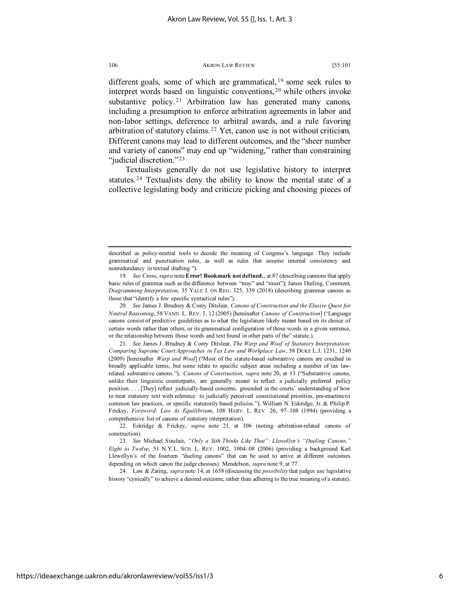different goals, some of which are grammatical,  $19$  some seek rules to interpret words based on linguistic conventions, [20](#page-6-1) while others invoke substantive policy.<sup>[21](#page-6-2)</sup> Arbitration law has generated many canons, including a presumption to enforce arbitration agreements in labor and non-labor settings, deference to arbitral awards, and a rule favoring arbitration of statutory claims. [22](#page-6-3) Yet, canon use is not without criticism. Different canons may lead to different outcomes, and the "sheer number and variety of canons" may end up "widening," rather than constraining "judicial discretion."<sup>[23](#page-6-4)</sup>

Textualists generally do not use legislative history to interpret statutes. [24](#page-6-5) Textualists deny the ability to know the mental state of a collective legislating body and criticize picking and choosing pieces of

<span id="page-6-2"></span>21*. See* James J. Brudney & Corey Ditslear, *The Warp and Woof of Statutory Interpretation: Comparing Supreme Court Approaches in Tax Law and Workplace Law*, 58 DUKE L.J. 1231, 1240 (2009) [hereinafter *Warp and Woof*] ("Most of the statute-based substantive canons are couched in broadly applicable terms, but some relate to specific subject areas including a number of tax lawrelated substantive canons."); *Canons of Construction*, *supra* note 20, at 13 ("Substantive canons, unlike their linguistic counterparts, are generally meant to reflect a judicially preferred policy position. . . . [They] reflect judicially-based concerns, grounded in the courts' understanding of how to treat statutory text with reference to judicially perceived constitutional priorities, pre-enactment common law practices, or specific statutorily based policies."); William N. Eskridge, Jr. & Philip P. Frickey, *Foreword: Law As Equilibrium*, 108 HARV. L. REV. 26, 97–108 (1994) (providing a comprehensive list of canons of statutory interpretation).

<span id="page-6-5"></span>24. Law & Zaring, *supra* note 14, at 1658 (discussing the *possibility* that judges use legislative history "cynically" to achieve a desired outcome, rather than adhering to the true meaning of a statute).

described as policy-neutral tools to decode the meaning of Congress's language. They include grammatical and punctuation rules, as well as rules that assume internal consistency and nonredundancy in textual drafting.").

<span id="page-6-0"></span><sup>19</sup>*. See* Cross, *supra* note **Error! Bookmark not defined.**, at 87 (describing cannons that apply basic rules of grammar such as the difference between "may" and "must"); James Durling, Comment, *Diagramming Interpretation*, 35 YALE J. ON REG. 325, 339 (2018) (describing grammar canons as those that "identify a few specific syntactical rules").

<span id="page-6-1"></span><sup>20</sup>*. See* James J. Brudney & Corey Ditslear, *Canons of Construction and the Elusive Quest for Neutral Reasoning*, 58 VAND. L. REV. 1, 12 (2005) [hereinafter *Canons of Construction*] ("Language canons consist of predictive guidelines as to what the legislature likely meant based on its choice of certain words rather than others, or its grammatical configuration of those words in a given sentence, or the relationship between those words and text found in other parts of the" statute.).

<span id="page-6-3"></span><sup>22.</sup> Eskridge & Frickey, *supra* note 21, at 106 (noting arbitration-related canons of construction).

<span id="page-6-4"></span><sup>23</sup>*. See* Michael Sinclair, *"Only a Sith Thinks Like That": Llewellyn's "Dueling Canons," Eight to Twelve*, 51 N.Y.L. SCH. L. REV. 1002, 1004–08 (2006) (providing a background Karl Llewellyn's of the fourteen "dueling canons" that can be used to arrive at different outcomes depending on which canon the judge chooses). Mendelson, *supra* note 9, at 77.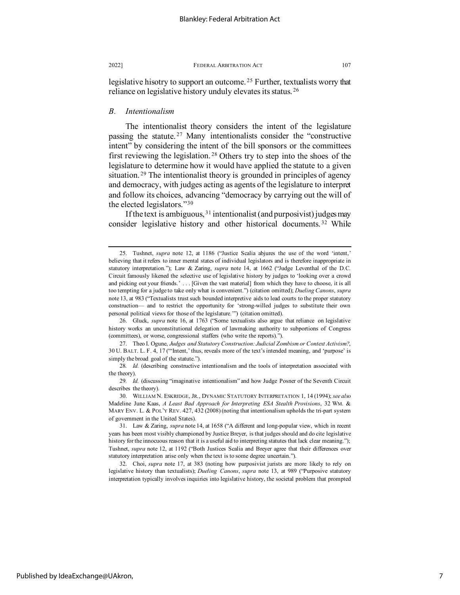legislative hisotry to support an outcome.<sup>25</sup> Further, textualists worry that reliance on legislative history unduly elevates its status. [26](#page-7-1)

## *B. Intentionalism*

The intentionalist theory considers the intent of the legislature passing the statute. [27](#page-7-2) Many intentionalists consider the "constructive intent" by considering the intent of the bill sponsors or the committees first reviewing the legislation. [28](#page-7-3) Others try to step into the shoes of the legislature to determine how it would have applied the statute to a given situation. [29](#page-7-4) The intentionalist theory is grounded in principles of agency and democracy, with judges acting as agents of the legislature to interpret and follow its choices, advancing "democracy by carrying out the will of the elected legislators."[30](#page-7-5)

If the text is ambiguous, [31](#page-7-6) intentionalist (and purposivist) judges may consider legislative history and other historical documents.<sup>[32](#page-7-7)</sup> While

<span id="page-7-1"></span>26. Gluck, *supra* note 16, at 1763 ("Some textualists also argue that reliance on legislative history works an unconstitutional delegation of lawmaking authority to subportions of Congress (committees), or worse, congressional staffers (who write the reports).").

<span id="page-7-2"></span>27. Theo I. Ogune, *Judges and Statutory Construction: Judicial Zombism or Context Activism?*, 30 U. BALT. L. F. 4, 17 ("'Intent,' thus, reveals more of the text's intended meaning, and 'purpose' is simply the broad goal of the statute.").

<span id="page-7-3"></span>28*. Id.* (describing constructive intentionalism and the tools of interpretation associated with the theory).

<span id="page-7-4"></span>29*. Id.* (discussing "imaginative intentionalism" and how Judge Posner of the Seventh Circuit describes the theory).

<span id="page-7-5"></span>30. WILLIAM N. ESKRIDGE, JR., DYNAMIC STATUTORY INTERPRETATION 1, 14 (1994); *see also* Madeline June Kaas, *A Least Bad Approach for Interpreting ESA Stealth Provisions*, 32 WM. & MARY ENV. L. & POL'Y REV. 427, 432 (2008) (noting that intentionalism upholds the tri-part system of government in the United States).

<span id="page-7-6"></span>31. Law & Zaring, *supra* note 14, at 1658 ("A different and long-popular view, which in recent years has been most visibly championed by Justice Breyer, is that judges should and do cite legislative history for the innocuous reason that it is a useful aid to interpreting statutes that lack clear meaning."); Tushnet, *supra* note 12, at 1192 ("Both Justices Scalia and Breyer agree that their differences over statutory interpretation arise only when the text is to some degree uncertain.").

<span id="page-7-7"></span>32. Choi, *supra* note 17, at 383 (noting how purposivist jurists are more likely to rely on legislative history than textualists); *Dueling Canons*, *supra* note 13, at 989 ("Purposive statutory interpretation typically involves inquiries into legislative history, the societal problem that prompted

<span id="page-7-0"></span><sup>25.</sup> Tushnet, *supra* note 12, at 1186 ("Justice Scalia abjures the use of the word 'intent,' believing that it refers to inner mental states of individual legislators and is therefore inappropriate in statutory interpretation."); Law & Zaring, *supra* note 14, at 1662 ("Judge Leventhal of the D.C. Circuit famously likened the selective use of legislative history by judges to 'looking over a crowd and picking out your friends.' . . . [Given the vast material] from which they have to choose, it is all too tempting for a judge to take only what is convenient.") (citation omitted); *Dueling Canons*, *supra*  note 13, at 983 ("Textualists trust such bounded interpretive aids to lead courts to the proper statutory construction— and to restrict the opportunity for 'strong-willed judges to substitute their own personal political views for those of the legislature.'") (citation omitted).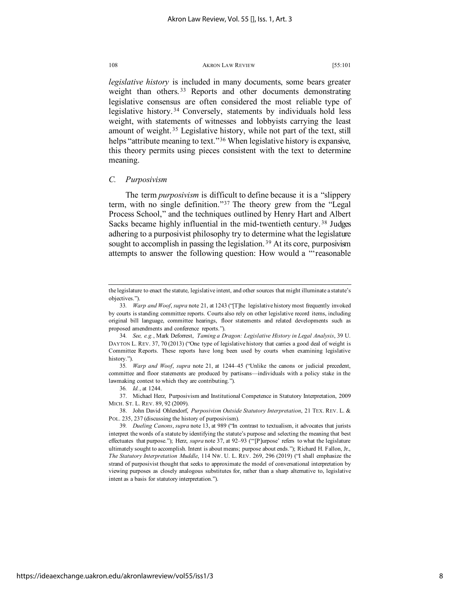*legislative history* is included in many documents, some bears greater weight than others.<sup>[33](#page-8-0)</sup> Reports and other documents demonstrating legislative consensus are often considered the most reliable type of legislative history. [34](#page-8-1) Conversely, statements by individuals hold less weight, with statements of witnesses and lobbyists carrying the least amount of weight. [35](#page-8-2) Legislative history, while not part of the text, still helps "attribute meaning to text."<sup>[36](#page-8-3)</sup> When legislative history is expansive, this theory permits using pieces consistent with the text to determine meaning.

## *C. Purposivism*

The term *purposivism* is difficult to define because it is a "slippery term, with no single definition."<sup>[37](#page-8-4)</sup> The theory grew from the "Legal Process School," and the techniques outlined by Henry Hart and Albert Sacks became highly influential in the mid-twentieth century. [38](#page-8-5) Judges adhering to a purposivist philosophy try to determine what the legislature sought to accomplish in passing the legislation.<sup>[39](#page-8-6)</sup> At its core, purposivism attempts to answer the following question: How would a "'reasonable

36*. Id.*, at 1244.

<span id="page-8-4"></span><span id="page-8-3"></span>37. Michael Herz, Purposivism and Institutional Competence in Statutory Interpretation, 2009 MICH. ST. L. REV. 89, 92 (2009).

<span id="page-8-5"></span>38. John David Ohlendorf, *Purposivism Outside Statutory Interpretation*, 21 TEX. REV. L. & POL. 235, 237 (discussing the history of purposivism).

the legislature to enact the statute, legislative intent, and other sources that might illuminate a statute's objectives.").

<span id="page-8-0"></span><sup>33</sup>*. Warp and Woof*, *supra* note 21, at 1243 ("[T]he legislative history most frequently invoked by courts is standing committee reports. Courts also rely on other legislative record items, including original bill language, committee hearings, floor statements and related developments such as proposed amendments and conference reports.").

<span id="page-8-1"></span><sup>34</sup>*. See, e.g.*, Mark Deforrest, *Taming a Dragon: Legislative History in Legal Analysis*, 39 U. DAYTON L. REV. 37, 70 (2013) ("One type of legislative history that carries a good deal of weight is Committee Reports. These reports have long been used by courts when examining legislative history.")

<span id="page-8-2"></span><sup>35</sup>*. Warp and Woof*, *supra* note 21, at 1244–45 ("Unlike the canons or judicial precedent, committee and floor statements are produced by partisans—individuals with a policy stake in the lawmaking contest to which they are contributing.").

<span id="page-8-6"></span><sup>39</sup>*. Dueling Canons*, *supra* note 13, at 989 ("In contrast to textualism, it advocates that jurists interpret the words of a statute by identifying the statute's purpose and selecting the meaning that best effectuates that purpose."); Herz, *supra* note 37, at 92–93 ("'[P]urpose' refers to what the legislature ultimately sought to accomplish. Intent is about means; purpose about ends."); Richard H. Fallon, Jr., *The Statutory Interpretation Muddle*, 114 NW. U. L. REV. 269, 296 (2019) ("I shall emphasize the strand of purposivist thought that seeks to approximate the model of conversational interpretation by viewing purposes as closely analogous substitutes for, rather than a sharp alternative to, legislative intent as a basis for statutory interpretation.").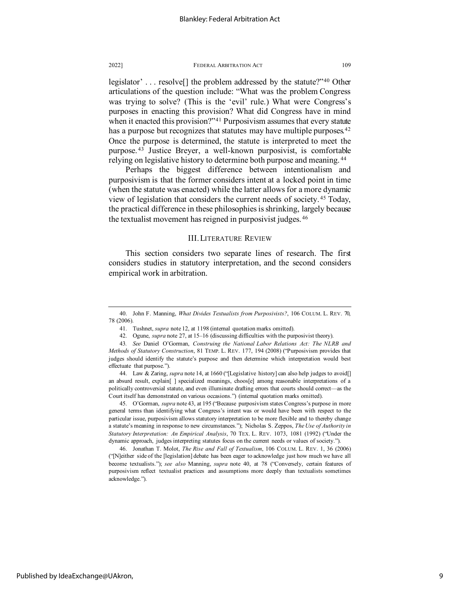legislator' . . . resolve[] the problem addressed by the statute?"[40](#page-9-0) Other articulations of the question include: "What was the problem Congress was trying to solve? (This is the 'evil' rule.) What were Congress's purposes in enacting this provision? What did Congress have in mind when it enacted this provision?"<sup>[41](#page-9-1)</sup> Purposivism assumes that every statute has a purpose but recognizes that statutes may have multiple purposes.<sup>[42](#page-9-2)</sup> Once the purpose is determined, the statute is interpreted to meet the purpose. [43](#page-9-3) Justice Breyer, a well-known purposivist, is comfortable relying on legislative history to determine both purpose and meaning. [44](#page-9-4)

Perhaps the biggest difference between intentionalism and purposivism is that the former considers intent at a locked point in time (when the statute was enacted) while the latter allows for a more dynamic view of legislation that considers the current needs of society. [45](#page-9-5) Today, the practical difference in these philosophies is shrinking, largely because the textualist movement has reigned in purposivist judges. [46](#page-9-6)

# III. LITERATURE REVIEW

This section considers two separate lines of research. The first considers studies in statutory interpretation, and the second considers empirical work in arbitration.

<span id="page-9-5"></span>45. O'Gorman, *supra* note 43, at 195 ("Because purposivism states Congress's purpose in more general terms than identifying what Congress's intent was or would have been with respect to the particular issue, purposivism allows statutory interpretation to be more flexible and to thereby change a statute's meaning in response to new circumstances."); Nicholas S. Zeppos, *The Use of Authority in Statutory Interpretation: An Empirical Analysis*, 70 TEX. L. REV. 1073, 1081 (1992) ("Under the dynamic approach, judges interpreting statutes focus on the current needs or values of society.").

<span id="page-9-6"></span>46. Jonathan T. Molot, *The Rise and Fall of Textualism*, 106 COLUM. L. REV. 1, 36 (2006) ("[N]either side of the [legislation] debate has been eager to acknowledge just how much we have all become textualists."); *see also* Manning, *supra* note 40, at 78 ("Conversely, certain features of purposivism reflect textualist practices and assumptions more deeply than textualists sometimes acknowledge.").

<span id="page-9-0"></span><sup>40.</sup> John F. Manning, *What Divides Textualists from Purposivists?*, 106 COLUM. L. REV. 70, 78 (2006).

<sup>41.</sup> Tushnet, *supra* note 12, at 1198 (internal quotation marks omitted).

<sup>42.</sup> Ogune, *supra* note 27, at 15–16 (discussing difficulties with the purposivist theory).

<span id="page-9-3"></span><span id="page-9-2"></span><span id="page-9-1"></span><sup>43</sup>*. See* Daniel O'Gorman, *Construing the National Labor Relations Act: The NLRB and Methods of Statutory Construction*, 81 TEMP. L. REV. 177, 194 (2008) ("Purposivism provides that judges should identify the statute's purpose and then determine which interpretation would best effectuate that purpose.").

<span id="page-9-4"></span><sup>44.</sup> Law & Zaring, *supra* note 14, at 1660 ("[Legislative history] can also help judges to avoid[] an absurd result, explain [] specialized meanings, choos[e] among reasonable interpretations of a politically controversial statute, and even illuminate drafting errors that courts should correct—as the Court itself has demonstrated on various occasions.") (internal quotation marks omitted).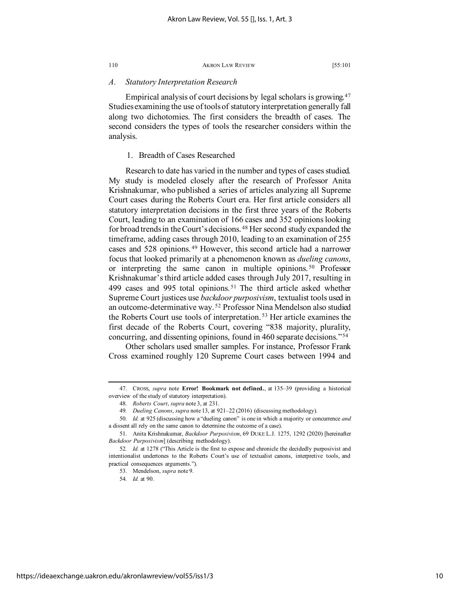# *A. Statutory Interpretation Research*

Empirical analysis of court decisions by legal scholars is growing.[47](#page-10-0) Studies examining the use of tools of statutory interpretation generally fall along two dichotomies. The first considers the breadth of cases. The second considers the types of tools the researcher considers within the analysis.

## 1. Breadth of Cases Researched

Research to date has varied in the number and types of cases studied. My study is modeled closely after the research of Professor Anita Krishnakumar, who published a series of articles analyzing all Supreme Court cases during the Roberts Court era. Her first article considers all statutory interpretation decisions in the first three years of the Roberts Court, leading to an examination of 166 cases and 352 opinions looking for broad trends in the Court's decisions. [48](#page-10-1) Her second study expanded the timeframe, adding cases through 2010, leading to an examination of 255 cases and 528 opinions. [49](#page-10-2) However, this second article had a narrower focus that looked primarily at a phenomenon known as *dueling canons*, or interpreting the same canon in multiple opinions. [50](#page-10-3) Professor Krishnakumar's third article added cases through July 2017, resulting in 499 cases and 995 total opinions. [51](#page-10-4) The third article asked whether Supreme Court justices use *backdoor purposivism*, textualist tools used in an outcome-determinative way. [52](#page-10-5) Professor Nina Mendelson also studied the Roberts Court use tools of interpretation. [53](#page-10-6) Her article examines the first decade of the Roberts Court, covering "838 majority, plurality, concurring, and dissenting opinions, found in 460 separate decisions."[54](#page-10-7)

Other scholars used smaller samples. For instance, Professor Frank Cross examined roughly 120 Supreme Court cases between 1994 and

<span id="page-10-1"></span><span id="page-10-0"></span><sup>47.</sup> CROSS, *supra* note **Error! Bookmark not defined.**, at 135–39 (providing a historical overview of the study of statutory interpretation).

<sup>48</sup>*. Roberts Court*, *supra* note 3, at 231.

<sup>49</sup>*. Dueling Canons*, *supra* note 13, at 921–22 (2016) (discussing methodology).

<span id="page-10-3"></span><span id="page-10-2"></span><sup>50</sup>*. Id.* at 925 (discussing how a "dueling canon" is one in which a majority or concurrence *and* a dissent all rely on the same canon to determine the outcome of a case).

<span id="page-10-4"></span><sup>51.</sup> Anita Krishnakumar, *Backdoor Purposivism*, 69 DUKE L.J. 1275, 1292 (2020) [hereinafter *Backdoor Purposivism*] (describing methodology).

<span id="page-10-7"></span><span id="page-10-6"></span><span id="page-10-5"></span><sup>52</sup>*. Id.* at 1278 ("This Article is the first to expose and chronicle the decidedly purposivist and intentionalist undertones to the Roberts Court's use of textualist canons, interpretive tools, and practical consequences arguments.").

<sup>53.</sup> Mendelson, *supra* note 9.

<sup>54</sup>*. Id.* at 90.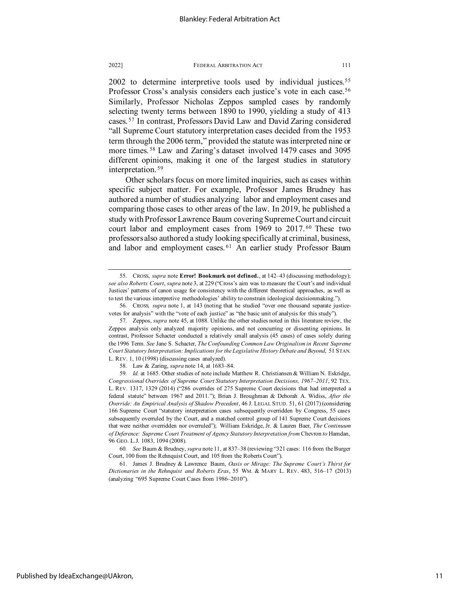2002 to determine interpretive tools used by individual justices.<sup>[55](#page-11-0)</sup> Professor Cross's analysis considers each justice's vote in each case.<sup>[56](#page-11-1)</sup> Similarly, Professor Nicholas Zeppos sampled cases by randomly selecting twenty terms between 1890 to 1990, yielding a study of 413 cases. [57](#page-11-2) In contrast, Professors David Law and David Zaring considered "all Supreme Court statutory interpretation cases decided from the 1953 term through the 2006 term," provided the statute was interpreted nine or more times. [58](#page-11-3) Law and Zaring's dataset involved 1479 cases and 3095 different opinions, making it one of the largest studies in statutory interpretation. [59](#page-11-4)

Other scholars focus on more limited inquiries, such as cases within specific subject matter. For example, Professor James Brudney has authored a number of studies analyzing labor and employment cases and comparing those cases to other areas of the law. In 2019, he published a study with Professor Lawrence Baum covering Supreme Court and circuit court labor and employment cases from 1969 to 2017. [60](#page-11-5) These two professors also authored a study looking specifically at criminal, business, and labor and employment cases.<sup>[61](#page-11-6)</sup> An earlier study Professor Baum

<span id="page-11-1"></span>56. CROSS*, supra* note 1, at 143 (noting that he studied "over one thousand separate justicevotes for analysis" with the "vote of each justice" as "the basic unit of analysis for this study").

<span id="page-11-5"></span>60*. See* Baum & Brudney, *supra* note 11, at 837–38 (reviewing "321 cases: 116 from the Burger Court, 100 from the Rehnquist Court, and 105 from the Roberts Court").

<span id="page-11-6"></span>61. James J. Brudney & Lawrence Baum, *Oasis or Mirage: The Supreme Court's Thirst for Dictionaries in the Rehnquist and Roberts Eras*, 55 WM. & MARY L. REV. 483, 516–17 (2013) (analyzing "695 Supreme Court Cases from 1986–2010").

Published by IdeaExchange@UAkron,

<span id="page-11-0"></span><sup>55.</sup> CROSS, *supra* note **Error! Bookmark not defined.**, at 142–43 (discussing methodology); *see also Roberts Court*, *supra* note 3, at 229 ("Cross's aim was to measure the Court's and individual Justices' patterns of canon usage for consistency with the different theoretical approaches, as well as to test the various interpretive methodologies' ability to constrain ideological decisionmaking.").

<span id="page-11-2"></span><sup>57.</sup> Zeppos, *supra* note 45, at 1088. Unlike the other studies noted in this literature review, the Zeppos analysis only analyzed majority opinions, and not concurring or dissenting opinions. In contrast, Professor Schacter conducted a relatively small analysis (45 cases) of cases solely during the 1996 Term. *See* Jane S. Schacter, *The Confounding Common Law Originalism in Recent Supreme Court Statutory Interpretation: Implications for the Legislative History Debate and Beyond*, 51 STAN. L. REV. 1, 10 (1998) (discussing cases analyzed).

<sup>58.</sup> Law & Zaring, *supra* note 14, at 1683–84.

<span id="page-11-4"></span><span id="page-11-3"></span><sup>59</sup>*. Id.* at 1685. Other studies of note include Matthew R. Christiansen & William N. Eskridge, *Congressional Overrides of Supreme Court Statutory Interpretation Decisions, 1967–2011*, 92 TEX. L. REV. 1317, 1329 (2014) ("286 overrides of 275 Supreme Court decisions that had interpreted a federal statute" between 1967 and 2011."); Brian J. Broughman & Deborah A. Widiss, *After the Override: An Empirical Analysis of Shadow Precedent*, 46 J. LEGAL STUD. 51, 61 (2017) (considering 166 Supreme Court "statutory interpretation cases subsequently overridden by Congress, 55 cases subsequently overruled by the Court, and a matched control group of 141 Supreme Court decisions that were neither overridden nor overruled"); William Eskridge, Jr. & Lauren Baer, *The Continuum of Deference: Supreme Court Treatment of Agency Statutory Interpretation from* Chevron *to* Hamdan, 96 GEO. L.J. 1083, 1094 (2008).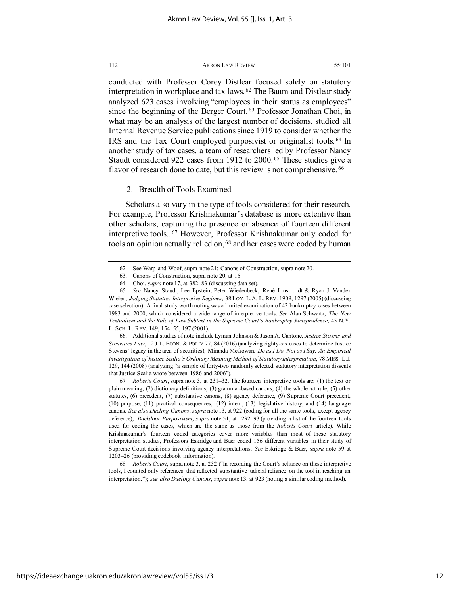conducted with Professor Corey Distlear focused solely on statutory interpretation in workplace and tax laws. [62](#page-12-0) The Baum and Distlear study analyzed 623 cases involving "employees in their status as employees" since the beginning of the Berger Court. [63](#page-12-1) Professor Jonathan Choi, in what may be an analysis of the largest number of decisions, studied all Internal Revenue Service publications since 1919 to consider whether the IRS and the Tax Court employed purposivist or originalist tools. [64](#page-12-2) In another study of tax cases, a team of researchers led by Professor Nancy Staudt considered 922 cases from 1912 to 2000. [65](#page-12-3) These studies give a flavor of research done to date, but this review is not comprehensive. <sup>[66](#page-12-4)</sup>

# <span id="page-12-7"></span>2. Breadth of Tools Examined

Scholars also vary in the type of tools considered for their research. For example, Professor Krishnakumar's database is more extentive than other scholars, capturing the presence or absence of fourteen different interpretive tools.. [67](#page-12-5) However, Professor Krishnakumar only coded for tools an opinion actually relied on, <sup>[68](#page-12-6)</sup> and her cases were coded by human

<span id="page-12-4"></span>66. Additional studies of note include Lyman Johnson & Jason A. Cantone, *Justice Stevens and Securities Law*, 12 J.L. ECON. & POL'Y 77, 84 (2016) (analyzing eighty-six cases to determine Justice Stevens' legacy in the area of securities), Miranda McGowan*, Do as I Do, Not as I Say: An Empirical Investigation of Justice Scalia's Ordinary Meaning Method of Statutory Interpretation*, 78 MISS. L.J. 129, 144 (2008) (analyzing "a sample of forty-two randomly selected statutory interpretation dissents that Justice Scalia wrote between 1986 and 2006").

<span id="page-12-5"></span>67*. Roberts Court*, supra note 3, at 231–32. The fourteen interpretive tools are: (1) the text or plain meaning, (2) dictionary definitions, (3) grammar-based canons, (4) the whole act rule, (5) other statutes, (6) precedent, (7) substantive canons, (8) agency deference, (9) Supreme Court precedent, (10) purpose, (11) practical consequences, (12) intent, (13) legislative history, and (14) language canons. *See also Dueling Canons*, *supra* note 13, at 922 (coding for all the same tools, except agency deference); *Backdoor Purposivism*, *supra* note 51, at 1292–93 (providing a list of the fourteen tools used for coding the cases, which are the same as those from the *Roberts Court* article). While Krishnakumar's fourteen coded categories cover more variables than most of these statutory interpretation studies, Professors Eskridge and Baer coded 156 different variables in their study of Supreme Court decisions involving agency interpretations. *See* Eskridge & Baer, *supra* note 59 at 1203–26 (providing codebook information).

<span id="page-12-6"></span>68*. Roberts Court*, supra note 3, at 232 ("In recording the Court's reliance on these interpretive tools, I counted only references that reflected substantive judicial reliance on the tool in reaching an interpretation."); *see also Dueling Canons*, *supra* note 13, at 923 (noting a similar coding method).

<sup>62.</sup> See Warp and Woof, supra note 21; Canons of Construction, supra note 20.

<sup>63.</sup> Canons of Construction, supra note 20, at 16.

<sup>64.</sup> Choi, *supra* note 17, at 382–83 (discussing data set).

<span id="page-12-3"></span><span id="page-12-2"></span><span id="page-12-1"></span><span id="page-12-0"></span><sup>65</sup>*. See* Nancy Staudt, Lee Epstein, Peter Wiedenbeck, René Linst. . .dt & Ryan J. Vander Wielen, *Judging Statutes: Interpretive Regimes*, 38 LOY. L.A. L. REV. 1909, 1297 (2005) (discussing case selection). A final study worth noting was a limited examination of 42 bankruptcy cases between 1983 and 2000, which considered a wide range of interpretive tools. *See* Alan Schwartz, *The New Textualism and the Rule of Law Subtext in the Supreme Court's Bankruptcy Jurisprudence*, 45 N.Y. L. SCH. L. REV. 149, 154–55, 197 (2001).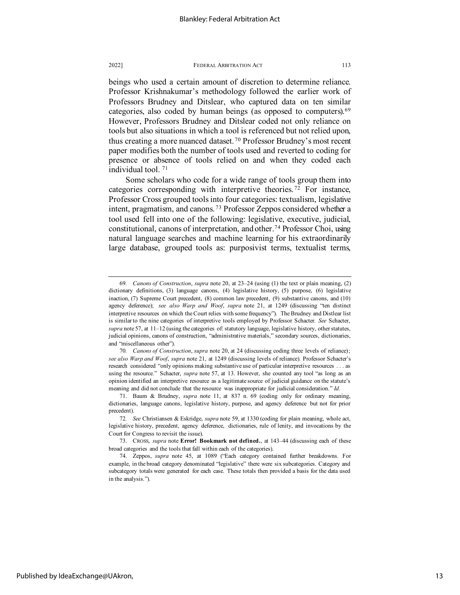beings who used a certain amount of discretion to determine reliance. Professor Krishnakumar's methodology followed the earlier work of Professors Brudney and Ditslear, who captured data on ten similar categories, also coded by human beings (as opposed to computers).[69](#page-13-0) However, Professors Brudney and Ditslear coded not only reliance on tools but also situations in which a tool is referenced but not relied upon, thus creating a more nuanced dataset. [70](#page-13-1) Professor Brudney's most recent paper modifies both the number of tools used and reverted to coding for presence or absence of tools relied on and when they coded each individual tool. [71](#page-13-2)

Some scholars who code for a wide range of tools group them into categories corresponding with interpretive theories. [72](#page-13-3) For instance, Professor Cross grouped tools into four categories: textualism, legislative intent, pragmatism, and canons. [73](#page-13-4) Professor Zeppos considered whether a tool used fell into one of the following: legislative, executive, judicial, constitutional, canons of interpretation, and other.[74](#page-13-5) Professor Choi, using natural language searches and machine learning for his extraordinarily large database, grouped tools as: purposivist terms, textualist terms,

<span id="page-13-0"></span><sup>69</sup>*. Canons of Construction*, *supra* note 20, at 23–24 (using (1) the text or plain meaning, (2) dictionary definitions, (3) language canons, (4) legislative history, (5) purpose, (6) legislative inaction, (7) Supreme Court precedent, (8) common law precedent, (9) substantive canons, and (10) agency deference); *see also Warp and Woof*, *supra* note 21, at 1249 (discussing "ten distinct interpretive resources on which the Court relies with some frequency"). The Brudney and Distlear list is similar to the nine categories of interpretive tools employed by Professor Schacter. *See* Schacter, *supra* note 57, at 11–12 (using the categories of: statutory language, legislative history, other statutes, judicial opinions, canons of construction, "administrative materials," secondary sources, dictionaries, and "miscellaneous other").

<span id="page-13-1"></span><sup>70</sup>*. Canons of Construction*, *supra* note 20, at 24 (discussing coding three levels of reliance); *see also Warp and Woof*, *supra* note 21, at 1249 (discussing levels of reliance). Professor Schacter's research considered "only opinions making substantive use of particular interpretive resources . . . as using the resource." Schacter, *supra* note 57, at 13. However, she counted any tool "as long as an opinion identified an interpretive resource as a legitimate source of judicial guidance on the statute's meaning and did not conclude that the resource was inappropriate for judicial consideration." *Id.*

<span id="page-13-2"></span><sup>71.</sup> Baum & Brudney, *supra* note 11, at 837 n. 69 (coding only for ordinary meaning, dictionaries, language canons, legislative history, purpose, and agency deference but not for prior precedent).

<span id="page-13-3"></span><sup>72</sup>*. See* Christiansen & Eskridge, *supra* note 59, at 1330 (coding for plain meaning, whole act, legislative history, precedent, agency deference, dictionaries, rule of lenity, and invocations by the Court for Congress to revisit the issue).

<span id="page-13-4"></span><sup>73.</sup> CROSS, *supra* note **Error! Bookmark not defined.**, at 143–44 (discussing each of these broad categories and the tools that fall within each of the categories).

<span id="page-13-5"></span><sup>74.</sup> Zeppos, *supra* note 45, at 1089 ("Each category contained further breakdowns. For example, in the broad category denominated "legislative" there were six subcategories. Category and subcategory totals were generated for each case. These totals then provided a basis for the data used in the analysis.").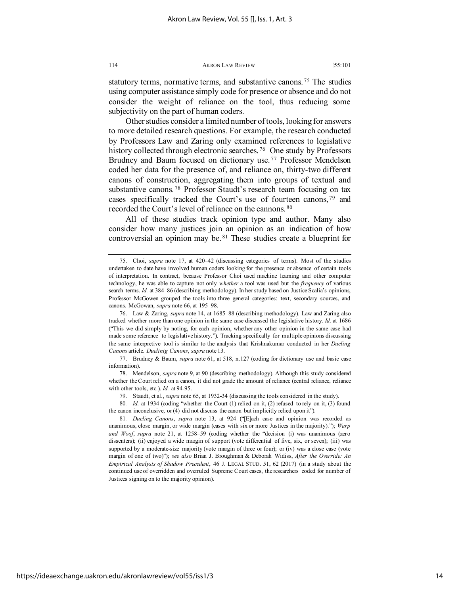statutory terms, normative terms, and substantive canons.<sup>[75](#page-14-0)</sup> The studies using computer assistance simply code for presence or absence and do not consider the weight of reliance on the tool, thus reducing some subjectivity on the part of human coders.

Other studies consider a limited number of tools, looking for answers to more detailed research questions. For example, the research conducted by Professors Law and Zaring only examined references to legislative history collected through electronic searches.<sup>76</sup> One study by Professors Brudney and Baum focused on dictionary use. [77](#page-14-2) Professor Mendelson coded her data for the presence of, and reliance on, thirty-two different canons of construction, aggregating them into groups of textual and substantive canons.<sup>[78](#page-14-3)</sup> Professor Staudt's research team focusing on tax cases specifically tracked the Court's use of fourteen canons, [79](#page-14-4) and recorded the Court's level of reliance on the cannons. [80](#page-14-5) 

All of these studies track opinion type and author. Many also consider how many justices join an opinion as an indication of how controversial an opinion may be. [81](#page-14-6) These studies create a blueprint for

<span id="page-14-0"></span><sup>75.</sup> Choi, *supra* note 17, at 420–42 (discussing categories of terms). Most of the studies undertaken to date have involved human coders looking for the presence or absence of certain tools of interpretation. In contract, because Professor Choi used machine learning and other computer technology, he was able to capture not only *whether* a tool was used but the *frequency* of various search terms. *Id.* at 384–86 (describing methodology). In her study based on Justice Scalia's opinions, Professor McGowen grouped the tools into three general categories: text, secondary sources, and canons. McGowan, *supra* note 66, at 195–98.

<span id="page-14-1"></span><sup>76.</sup> Law & Zaring, *supra* note 14, at 1685–88 (describing methodology). Law and Zaring also tracked whether more than one opinion in the same case discussed the legislative history. *Id.* at 1686 ("This we did simply by noting, for each opinion, whether any other opinion in the same case had made some reference to legislative history."). Tracking specifically for multiple opinions discussing the same interpretive tool is similar to the analysis that Krishnakumar conducted in her *Dueling Canons* article. *Duelinig Canons*, *supra* note 13.

<span id="page-14-2"></span><sup>77.</sup> Brudney & Baum, *supra* note 61, at 518, n.127 (coding for dictionary use and basic case information).

<span id="page-14-3"></span><sup>78.</sup> Mendelson, *supra* note 9, at 90 (describing methodology). Although this study considered whether the Court relied on a canon, it did not grade the amount of reliance (central reliance, reliance with other tools, etc.). *Id.* at 94-95.

<sup>79.</sup> Staudt, et al., *supra* note 65, at 1932-34 (discussing the tools considered in the study).

<span id="page-14-5"></span><span id="page-14-4"></span><sup>80</sup>*. Id.* at 1934 (coding "whether the Court (1) relied on it, (2) refused to rely on it, (3) found the canon inconclusive, or (4) did not discuss the canon but implicitly relied upon it").

<span id="page-14-6"></span><sup>81</sup>*. Dueling Canons*, *supra* note 13, at 924 ("[E]ach case and opinion was recorded as unanimous, close margin, or wide margin (cases with six or more Justices in the majority)."); *Warp and Woof*, *supra* note 21, at 1258–59 (coding whether the "decision (i) was unanimous (zero dissenters); (ii) enjoyed a wide margin of support (vote differential of five, six, or seven); (iii) was supported by a moderate-size majority (vote margin of three or four); or (iv) was a close case (vote margin of one of two)"); *see also* Brian J. Broughman & Deborah Widiss, *After the Override: An Empirical Analysis of Shadow Precedent*, 46 J. LEGAL STUD. 51, 62 (2017) (in a study about the continued use of overridden and overruled Supreme Court cases, the researchers coded for number of Justices signing on to the majority opinion).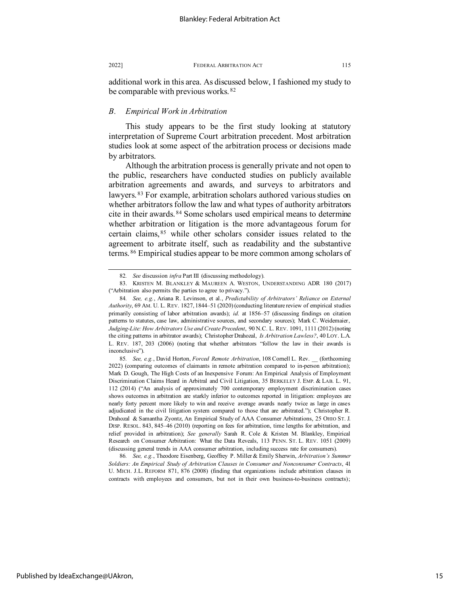additional work in this area. As discussed below, I fashioned my study to be comparable with previous works. [82](#page-15-0)

# *B. Empirical Work in Arbitration*

This study appears to be the first study looking at statutory interpretation of Supreme Court arbitration precedent. Most arbitration studies look at some aspect of the arbitration process or decisions made by arbitrators.

Although the arbitration process is generally private and not open to the public, researchers have conducted studies on publicly available arbitration agreements and awards, and surveys to arbitrators and lawyers. [83](#page-15-1) For example, arbitration scholars authored various studies on whether arbitrators follow the law and what types of authority arbitrators cite in their awards. [84](#page-15-2) Some scholars used empirical means to determine whether arbitration or litigation is the more advantageous forum for certain claims, [85](#page-15-3) while other scholars consider issues related to the agreement to arbitrate itself, such as readability and the substantive terms. [86](#page-15-4) Empirical studies appear to be more common among scholars of

<sup>82</sup>*. See* discussion *infra* Part III (discussing methodology).

<span id="page-15-1"></span><span id="page-15-0"></span><sup>83.</sup> KRISTEN M. BLANKLEY & MAUREEN A. WESTON, UNDERSTANDING ADR 180 (2017) ("Arbitration also permits the parties to agree to privacy.").

<span id="page-15-2"></span><sup>84</sup>*. See, e.g.*, Ariana R. Levinson, et al., *Predictability of Arbitrators' Reliance on External Authority*, 69 AM. U. L. REV. 1827, 1844–51 (2020) (conducting literature review of empirical studies primarily consisting of labor arbitration awards); *id.* at 1856–57 (discussing findings on citation patterns to statutes, case law, administrative sources, and secondary sources); Mark C. Weidemaier, *Judging-Lite: How Arbitrators Use and Create Precedent*, 90 N.C. L. REV. 1091, 1111 (2012) (noting the citing patterns in arbitrator awards); Christopher Drahozal, *Is Arbitration Lawless?*, 40 LOY. L.A. L. REV. 187, 203 (2006) (noting that whether arbitrators "follow the law in their awards is inconclusive").

<span id="page-15-3"></span><sup>85</sup>*. See, e.g.*, David Horton, *Forced Remote Arbitration*, 108 Cornell L. Rev. \_\_ (forthcoming 2022) (comparing outcomes of claimants in remote arbitration compared to in-person arbitration); Mark D. Gough, The High Costs of an Inexpensive Forum: An Empirical Analysis of Employment Discrimination Claims Heard in Arbitral and Civil Litigation, 35 BERKELEY J. EMP. & LAB. L. 91, 112 (2014) ("An analysis of approximately 700 contemporary employment discrimination cases shows outcomes in arbitration are starkly inferior to outcomes reported in litigation: employees are nearly forty percent more likely to win and receive average awards nearly twice as large in cases adjudicated in the civil litigation system compared to those that are arbitrated."); Christopher R. Drahozal & Samantha Zyontz, An Empirical Study of AAA Consumer Arbitrations, 25 OHIO ST. J. DISP. RESOL. 843, 845–46 (2010) (reporting on fees for arbitration, time lengths for arbitration, and relief provided in arbitration); *See generally* Sarah R. Cole & Kristen M. Blankley, Empirical Research on Consumer Arbitration: What the Data Reveals, 113 PENN. ST. L. REV. 1051 (2009) (discussing general trends in AAA consumer arbitration, including success rate for consumers).

<span id="page-15-4"></span><sup>86</sup>*. See, e.g.*, Theodore Eisenberg, Geoffrey P. Miller & Emily Sherwin, *Arbitration's Summer Soldiers: An Empirical Study of Arbitration Clauses in Consumer and Nonconsumer Contracts*, 41 U. MICH. J.L. REFORM 871, 876 (2008) (finding that organizations include arbitration clauses in contracts with employees and consumers, but not in their own business-to-business contracts);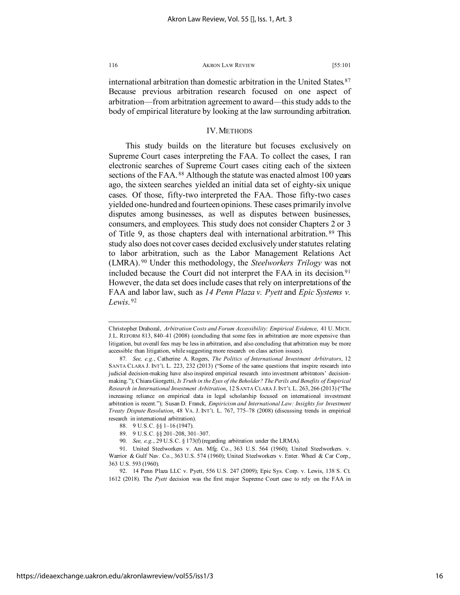international arbitration than domestic arbitration in the United States.<sup>[87](#page-16-0)</sup> Because previous arbitration research focused on one aspect of arbitration—from arbitration agreement to award—this study adds to the body of empirical literature by looking at the law surrounding arbitration.

# IV. METHODS

This study builds on the literature but focuses exclusively on Supreme Court cases interpreting the FAA. To collect the cases, I ran electronic searches of Supreme Court cases citing each of the sixteen sections of the FAA.<sup>[88](#page-16-1)</sup> Although the statute was enacted almost 100 years ago, the sixteen searches yielded an initial data set of eighty-six unique cases. Of those, fifty-two interpreted the FAA. Those fifty-two cases yielded one-hundred and fourteen opinions. These cases primarily involve disputes among businesses, as well as disputes between businesses, consumers, and employees. This study does not consider Chapters 2 or 3 of Title 9, as those chapters deal with international arbitration. [89](#page-16-2) This study also does not cover cases decided exclusively under statutes relating to labor arbitration, such as the Labor Management Relations Act (LMRA). [90](#page-16-3) Under this methodology, the *Steelworkers Trilogy* was not included because the Court did not interpret the FAA in its decision.<sup>[91](#page-16-4)</sup> However, the data set does include cases that rely on interpretations of the FAA and labor law, such as *14 Penn Plaza v. Pyett* and *Epic Systems v. Lewis*. [92](#page-16-5)

Christopher Drahozal, *Arbitration Costs and Forum Accessibility: Empirical Evidence*, 41 U. MICH. J.L. REFORM 813, 840–41 (2008) (concluding that some fees in arbitration are more expensive than litigation, but overall fees may be less in arbitration, and also concluding that arbitration may be more accessible than litigation, while suggesting more research on class action issues).

<span id="page-16-0"></span><sup>87</sup>*. See, e.g.*, Catherine A. Rogers, *The Politics of International Investment Arbitrators*, 12 SANTA CLARA J. INT'L L. 223, 232 (2013) ("Some of the same questions that inspire research into judicial decision-making have also inspired empirical research into investment arbitrators' decisionmaking."); Chiara Giorgetti, *Is Truth in the Eyes of the Beholder? The Perils and Benefits of Empirical Research in International Investment Arbitration*, 12 SANTA CLARA J. INT'L L. 263, 266 (2013) ("The increasing reliance on empirical data in legal scholarship focused on international investment arbitration is recent."); Susan D. Franck, *Empiricism and International Law: Insights for Investment Treaty Dispute Resolution*, 48 VA. J. INT'L L. 767, 775–78 (2008) (discussing trends in empirical research in international arbitration).

<sup>88.</sup> 9 U.S.C. §§ 1–16 (1947).

<sup>89.</sup> 9 U.S.C. §§ 201–208, 301–307.

<sup>90</sup>*. See, e.g.*, 29 U.S.C. § 173(f) (regarding arbitration under the LRMA).

<span id="page-16-4"></span><span id="page-16-3"></span><span id="page-16-2"></span><span id="page-16-1"></span><sup>91.</sup> United Steelworkers v. Am. Mfg. Co., 363 U.S. 564 (1960); United Steelworkers. v. Warrior & Gulf Nav. Co., 363 U.S. 574 (1960); United Steelworkers v. Enter. Wheel & Car Corp., 363 U.S. 593 (1960).

<span id="page-16-5"></span><sup>92.</sup> 14 Penn Plaza LLC v. Pyett, 556 U.S. 247 (2009); Epic Sys. Corp. v. Lewis, 138 S. Ct. 1612 (2018). The *Pyett* decision was the first major Supreme Court case to rely on the FAA in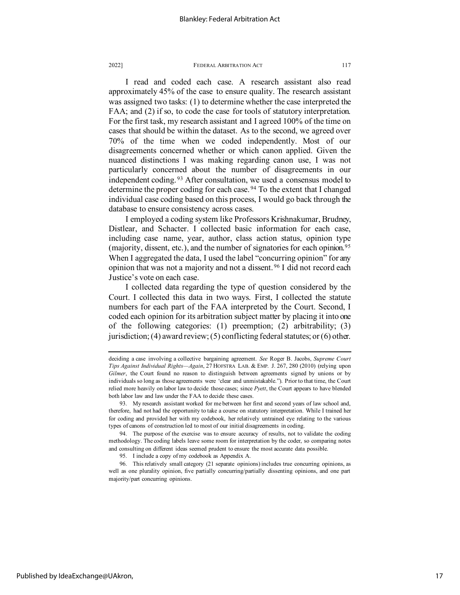I read and coded each case. A research assistant also read approximately 45% of the case to ensure quality. The research assistant was assigned two tasks: (1) to determine whether the case interpreted the FAA; and (2) if so, to code the case for tools of statutory interpretation. For the first task, my research assistant and I agreed 100% of the time on cases that should be within the dataset. As to the second, we agreed over 70% of the time when we coded independently. Most of our disagreements concerned whether or which canon applied. Given the nuanced distinctions I was making regarding canon use, I was not particularly concerned about the number of disagreements in our independent coding. [93](#page-17-0) After consultation, we used a consensus model to determine the proper coding for each case. [94](#page-17-1) To the extent that I changed individual case coding based on this process, I would go back through the database to ensure consistency across cases.

I employed a coding system like Professors Krishnakumar, Brudney, Distlear, and Schacter. I collected basic information for each case, including case name, year, author, class action status, opinion type (majority, dissent, etc.), and the number of signatories for each opinion.<sup>[95](#page-17-2)</sup> When I aggregated the data, I used the label "concurring opinion" for any opinion that was not a majority and not a dissent. [96](#page-17-3) I did not record each Justice's vote on each case.

I collected data regarding the type of question considered by the Court. I collected this data in two ways. First, I collected the statute numbers for each part of the FAA interpreted by the Court. Second, I coded each opinion for its arbitration subject matter by placing it into one of the following categories: (1) preemption; (2) arbitrability; (3) jurisdiction; (4) award review; (5) conflicting federal statutes; or (6) other.

deciding a case involving a collective bargaining agreement. *See* Roger B. Jacobs, *Supreme Court Tips Against Individual Rights—Again*, 27 HOFSTRA LAB. & EMP. J. 267, 280 (2010) (relying upon *Gilmer*, the Court found no reason to distinguish between agreements signed by unions or by individuals so long as those agreements were 'clear and unmistakable."). Prior to that time, the Court relied more heavily on labor law to decide those cases; since *Pyett*, the Court appears to have blended both labor law and law under the FAA to decide these cases.

<span id="page-17-0"></span><sup>93.</sup> My research assistant worked for me between her first and second years of law school and, therefore, had not had the opportunity to take a course on statutory interpretation. While I trained her for coding and provided her with my codebook, her relatively untrained eye relating to the various types of canons of construction led to most of our initial disagreements in coding.

<span id="page-17-1"></span><sup>94.</sup> The purpose of the exercise was to ensure accuracy of results, not to validate the coding methodology. The coding labels leave some room for interpretation by the coder, so comparing notes and consulting on different ideas seemed prudent to ensure the most accurate data possible.

<sup>95.</sup> I include a copy of my codebook as Appendix A.

<span id="page-17-3"></span><span id="page-17-2"></span><sup>96.</sup> This relatively small category (21 separate opinions) includes true concurring opinions, as well as one plurality opinion, five partially concurring/partially dissenting opinions, and one part majority/part concurring opinions.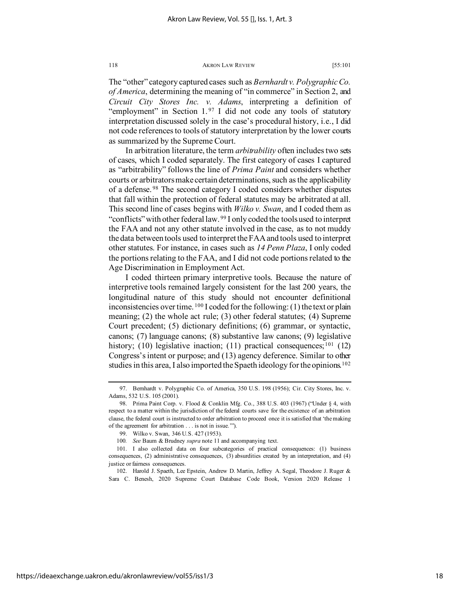The "other" category captured cases such as *Bernhardt v. Polygraphic Co. of America*, determining the meaning of "in commerce" in Section 2, and *Circuit City Stores Inc. v. Adams*, interpreting a definition of "employment" in Section 1.[97](#page-18-0) I did not code any tools of statutory interpretation discussed solely in the case's procedural history, i.e., I did not code references to tools of statutory interpretation by the lower courts as summarized by the Supreme Court.

In arbitration literature, the term *arbitrability* often includes two sets of cases, which I coded separately. The first category of cases I captured as "arbitrability" follows the line of *Prima Paint* and considers whether courts or arbitrators make certain determinations, such as the applicability of a defense. [98](#page-18-1) The second category I coded considers whether disputes that fall within the protection of federal statutes may be arbitrated at all. This second line of cases begins with *Wilko v. Swan*, and I coded them as "conflicts" with other federal law.<sup>[99](#page-18-2)</sup> I only coded the tools used to interpret the FAA and not any other statute involved in the case, as to not muddy the data between tools used to interpret the FAA and tools used to interpret other statutes. For instance, in cases such as *14 Penn Plaza*, I only coded the portions relating to the FAA, and I did not code portions related to the Age Discrimination in Employment Act.

I coded thirteen primary interpretive tools. Because the nature of interpretive tools remained largely consistent for the last 200 years, the longitudinal nature of this study should not encounter definitional inconsistencies over time.  $100$  I coded for the following: (1) the text or plain meaning; (2) the whole act rule; (3) other federal statutes; (4) Supreme Court precedent; (5) dictionary definitions; (6) grammar, or syntactic, canons; (7) language canons; (8) substantive law canons; (9) legislative history; (10) legislative inaction; (11) practical consequences;  $101$  (12) Congress's intent or purpose; and (13) agency deference. Similar to other studies in this area, I also imported the Spaeth ideology for the opinions.<sup>[102](#page-18-5)</sup>

<span id="page-18-0"></span><sup>97.</sup> Bernhardt v. Polygraphic Co. of America, 350 U.S. 198 (1956); Cir. City Stores, Inc. v. Adams, 532 U.S. 105 (2001).

<span id="page-18-1"></span><sup>98.</sup> Prima Paint Corp. v. Flood & Conklin Mfg. Co., 388 U.S. 403 (1967) ("Under § 4, with respect to a matter within the jurisdiction of the federal courts save for the existence of an arbitration clause, the federal court is instructed to order arbitration to proceed once it is satisfied that 'the making of the agreement for arbitration . . . is not in issue.'").

<sup>99.</sup> Wilko v. Swan, 346 U.S. 427 (1953).

<sup>100</sup>*. See* Baum & Brudney *supra* note 11 and accompanying text.

<span id="page-18-4"></span><span id="page-18-3"></span><span id="page-18-2"></span><sup>101.</sup> I also collected data on four subcategories of practical consequences: (1) business consequences, (2) administrative consequences, (3) absurdities created by an interpretation, and (4) justice or fairness consequences.

<span id="page-18-5"></span><sup>102.</sup> Harold J. Spaeth, Lee Epstein, Andrew D. Martin, Jeffrey A. Segal, Theodore J. Ruger & Sara C. Benesh, 2020 Supreme Court Database Code Book, Version 2020 Release 1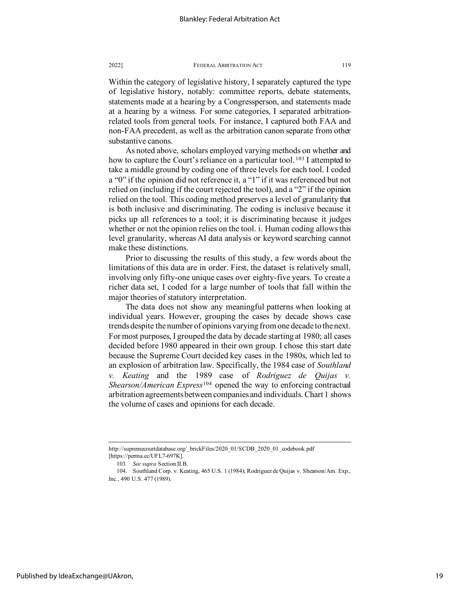Within the category of legislative history, I separately captured the type of legislative history, notably: committee reports, debate statements, statements made at a hearing by a Congressperson, and statements made at a hearing by a witness. For some categories, I separated arbitrationrelated tools from general tools. For instance, I captured both FAA and non-FAA precedent, as well as the arbitration canon separate from other substantive canons.

As noted above, scholars employed varying methods on whether and how to capture the Court's reliance on a particular tool. <sup>[103](#page-19-0)</sup> I attempted to take a middle ground by coding one of three levels for each tool. I coded a "0" if the opinion did not reference it, a "1" if it was referenced but not relied on (including if the court rejected the tool), and a "2" if the opinion relied on the tool. This coding method preserves a level of granularity that is both inclusive and discriminating. The coding is inclusive because it picks up all references to a tool; it is discriminating because it judges whether or not the opinion relies on the tool. i. Human coding allows this level granularity, whereas AI data analysis or keyword searching cannot make these distinctions.

Prior to discussing the results of this study, a few words about the limitations of this data are in order. First, the dataset is relatively small, involving only fifty-one unique cases over eighty-five years. To create a richer data set, I coded for a large number of tools that fall within the major theories of statutory interpretation.

The data does not show any meaningful patterns when looking at individual years. However, grouping the cases by decade shows case trends despite the number of opinions varying from one decade to the next. For most purposes, I grouped the data by decade starting at 1980; all cases decided before 1980 appeared in their own group. I chose this start date because the Supreme Court decided key cases in the 1980s, which led to an explosion of arbitration law. Specifically, the 1984 case of *Southland v. Keating* and the 1989 case of *Rodriguez de Quijas v. Shearson/American Express*[104](#page-19-1) opened the way to enforcing contractual arbitration agreements between companies and individuals. Chart 1 shows the volume of cases and opinions for each decade.

http://supremecourtdatabase.org/\_brickFiles/2020\_01/SCDB\_2020\_01\_codebook.pdf [https://perma.cc/UFL7-697K].

<sup>103</sup>*. See supra* Section II.B.

<span id="page-19-1"></span><span id="page-19-0"></span><sup>104.</sup> Southland Corp. v. Keating, 465 U.S. 1 (1984); Rodriguez de Quijas v. Shearson/Am. Exp., Inc., 490 U.S. 477 (1989).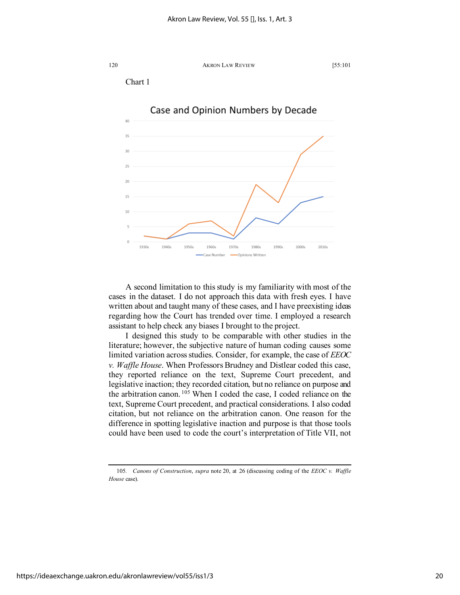

A second limitation to this study is my familiarity with most of the cases in the dataset. I do not approach this data with fresh eyes. I have written about and taught many of these cases, and I have preexisting ideas regarding how the Court has trended over time. I employed a research assistant to help check any biases I brought to the project.

1970s

1980s

Opinions Writter

1990s

2000s

2010s

I designed this study to be comparable with other studies in the literature; however, the subjective nature of human coding causes some limited variation across studies. Consider, for example, the case of *EEOC v. Waffle House*. When Professors Brudney and Distlear coded this case, they reported reliance on the text, Supreme Court precedent, and legislative inaction; they recorded citation, but no reliance on purpose and the arbitration canon. [105](#page-20-0) When I coded the case, I coded reliance on the text, Supreme Court precedent, and practical considerations. I also coded citation, but not reliance on the arbitration canon. One reason for the difference in spotting legislative inaction and purpose is that those tools could have been used to code the court's interpretation of Title VII, not

10

1930s

1940s

1950

1960s

.<br>Case Number

<span id="page-20-0"></span><sup>105</sup>*. Canons of Construction*, *supra* note 20, at 26 (discussing coding of the *EEOC v. Waffle House* case).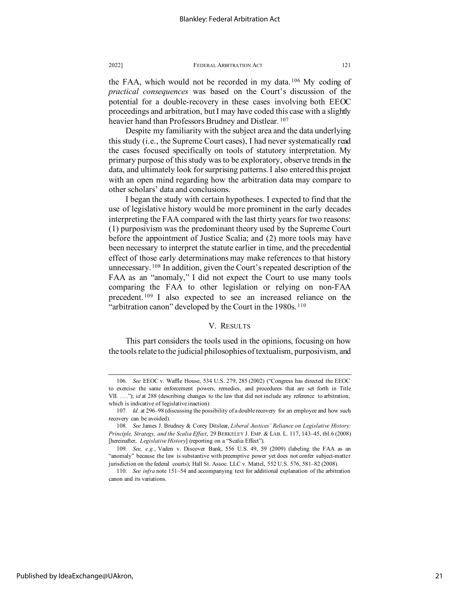the FAA, which would not be recorded in my data. [106](#page-21-0) My coding of *practical consequences* was based on the Court's discussion of the potential for a double-recovery in these cases involving both EEOC proceedings and arbitration, but I may have coded this case with a slightly heavier hand than Professors Brudney and Distlear.<sup>[107](#page-21-1)</sup>

Despite my familiarity with the subject area and the data underlying this study (i.e., the Supreme Court cases), I had never systematically read the cases focused specifically on tools of statutory interpretation. My primary purpose of this study was to be exploratory, observe trends in the data, and ultimately look for surprising patterns. I also entered this project with an open mind regarding how the arbitration data may compare to other scholars' data and conclusions.

I began the study with certain hypotheses. I expected to find that the use of legislative history would be more prominent in the early decades interpreting the FAA compared with the last thirty years for two reasons: (1) purposivism was the predominant theory used by the Supreme Court before the appointment of Justice Scalia; and (2) more tools may have been necessary to interpret the statute earlier in time, and the precedential effect of those early determinations may make references to that history unnecessary.<sup>[108](#page-21-2)</sup> In addition, given the Court's repeated description of the FAA as an "anomaly," I did not expect the Court to use many tools comparing the FAA to other legislation or relying on non-FAA precedent. [109](#page-21-3) I also expected to see an increased reliance on the "arbitration canon" developed by the Court in the 1980s.<sup>[110](#page-21-4)</sup>

# V. RESULTS

This part considers the tools used in the opinions, focusing on how the tools relate to the judicial philosophies of textualism, purposivism, and

<span id="page-21-0"></span><sup>106</sup>*. See* EEOC v. Waffle House, 534 U.S. 279, 285 (2002) ("Congress has directed the EEOC to exercise the same enforcement powers, remedies, and procedures that are set forth in Title VII. . . . "); *id* at 288 (describing changes to the law that did not include any reference to arbitration, which is indicative of legislative inaction).

<span id="page-21-1"></span><sup>107</sup>*. Id.* at 296–98 (discussing the possibility of a double recovery for an employee and how such recovery can be avoided).

<span id="page-21-2"></span><sup>108</sup>*. See* James J. Brudney & Corey Ditslear, *Liberal Justices' Reliance on Legislative History: Principle, Strategy, and the Scalia Effect*, 29 BERKELEY J. EMP. & LAB. L. 117, 143–45, tbl.6 (2008) [hereinafter, *Legislative History*] (reporting on a "Scalia Effect").

<span id="page-21-3"></span><sup>109</sup>*. See, e.g.*, Vaden v. Discover Bank, 556 U.S. 49, 59 (2009) (labeling the FAA as an "anomaly" because the law is substantive with preemptive power yet does not confer subject-matter jurisdiction on the federal courts); Hall St. Assoc. LLC v. Mattel, 552 U.S. 576, 581–82 (2008).

<span id="page-21-4"></span><sup>110</sup>*. See infra* note 151–54 and accompanying text for additional explanation of the arbitration canon and its variations.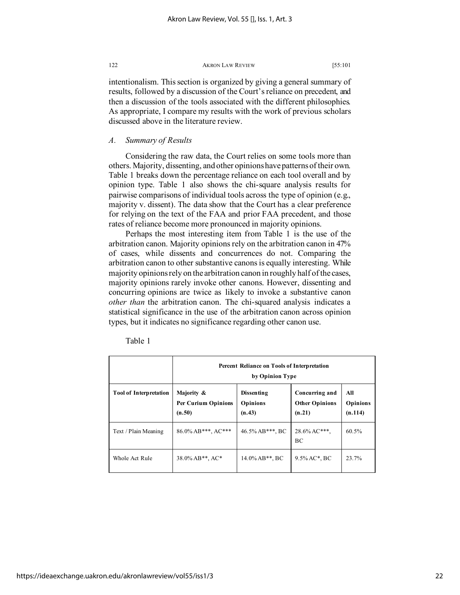intentionalism. This section is organized by giving a general summary of results, followed by a discussion of the Court's reliance on precedent, and then a discussion of the tools associated with the different philosophies. As appropriate, I compare my results with the work of previous scholars discussed above in the literature review.

# *A. Summary of Results*

Considering the raw data, the Court relies on some tools more than others. Majority, dissenting, and other opinions have patterns of their own. Table 1 breaks down the percentage reliance on each tool overall and by opinion type. Table 1 also shows the chi-square analysis results for pairwise comparisons of individual tools across the type of opinion (e.g., majority v. dissent). The data show that the Court has a clear preference for relying on the text of the FAA and prior FAA precedent, and those rates of reliance become more pronounced in majority opinions.

Perhaps the most interesting item from Table 1 is the use of the arbitration canon. Majority opinions rely on the arbitration canon in 47% of cases, while dissents and concurrences do not. Comparing the arbitration canon to other substantive canons is equally interesting. While majority opinions rely on the arbitration canon in roughly half of the cases, majority opinions rarely invoke other canons. However, dissenting and concurring opinions are twice as likely to invoke a substantive canon *other than* the arbitration canon. The chi-squared analysis indicates a statistical significance in the use of the arbitration canon across opinion types, but it indicates no significance regarding other canon use.

|                               | <b>Percent Reliance on Tools of Interpretation</b><br>by Opinion Type |                                                |                                                   |                                   |
|-------------------------------|-----------------------------------------------------------------------|------------------------------------------------|---------------------------------------------------|-----------------------------------|
| <b>Tool of Interpretation</b> | Majority &<br><b>Per Curium Opinions</b><br>(n.50)                    | <b>Dissenting</b><br><b>Opinions</b><br>(n.43) | Concurring and<br><b>Other Opinions</b><br>(n.21) | All<br><b>Opinions</b><br>(n.114) |
| Text / Plain Meaning          | $86.0\%$ AB***, AC***                                                 | 46.5% AB***, BC                                | $28.6\%$ AC***,<br>BC                             | 60.5%                             |
| Whole Act Rule                | 38.0% AB**, AC*                                                       | $14.0\%$ AB**, BC                              | $9.5\%$ AC*, BC                                   | 23.7%                             |

Table 1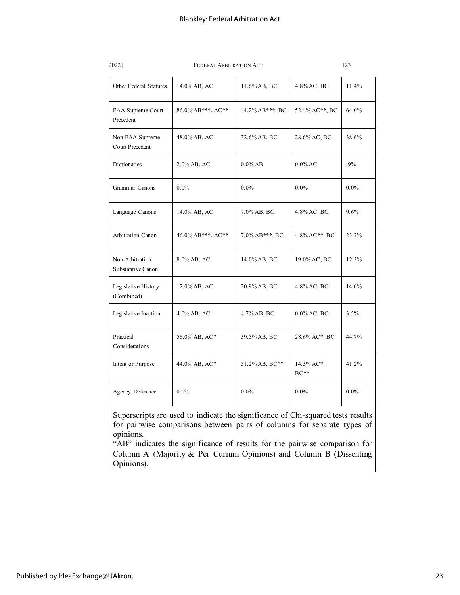| 2022]                                     | <b>FEDERAL ARBITRATION ACT</b> | 123            |                      |         |
|-------------------------------------------|--------------------------------|----------------|----------------------|---------|
| Other Federal Statutes                    | 14.0% AB, AC                   | 11.6% AB, BC   | 4.8% AC, BC          | 11.4%   |
| FAA Supreme Court<br>Precedent            | 86.0% AB***, AC**              |                | 52.4% AC**, BC       | 64.0%   |
| Non-FAA Supreme<br><b>Court Precedent</b> | 48.0% AB, AC                   | 32.6% AB, BC   | 28.6% AC, BC         | 38.6%   |
| Dictionaries                              | 2.0% AB, AC                    | $0.0\%$ AB     | $0.0\%$ AC           | $.9\%$  |
| Grammar Canons                            | $0.0\%$                        | $0.0\%$        | $0.0\%$              | $0.0\%$ |
| Language Canons                           | 14.0% AB, AC                   | 7.0% AB, BC    | 4.8% AC, BC          | 9.6%    |
| Arbitration Canon                         | 46.0% AB***, AC**              | 7.0% AB***, BC | 4.8% AC**, BC        | 23.7%   |
| Non-Arbitration<br>Substantive Canon      | 8.0% AB, AC                    | 14.0% AB, BC   | 19.0% AC, BC         | 12.3%   |
| Legislative History<br>(Combined)         | 12.0% AB, AC                   | 20.9% AB, BC   | 4.8% AC, BC          | 14.0%   |
| Legislative Inaction                      | 4.0% AB, AC                    | 4.7% AB, BC    | $0.0\%$ AC, BC       | 3.5%    |
| Practical<br>Considerations               | 56.0% AB, AC*                  | 39.5% AB, BC   | 28.6% AC*, BC        | 44.7%   |
| Intent or Purpose                         | 44.0% AB, AC*                  | 51.2% AB, BC** | 14.3% AC*,<br>$BC**$ | 41.2%   |
| Agency Deference                          | $0.0\%$                        | $0.0\%$        | $0.0\%$              | $0.0\%$ |

Superscripts are used to indicate the significance of Chi-squared tests results for pairwise comparisons between pairs of columns for separate types of opinions.

"AB" indicates the significance of results for the pairwise comparison for Column A (Majority & Per Curium Opinions) and Column B (Dissenting Opinions).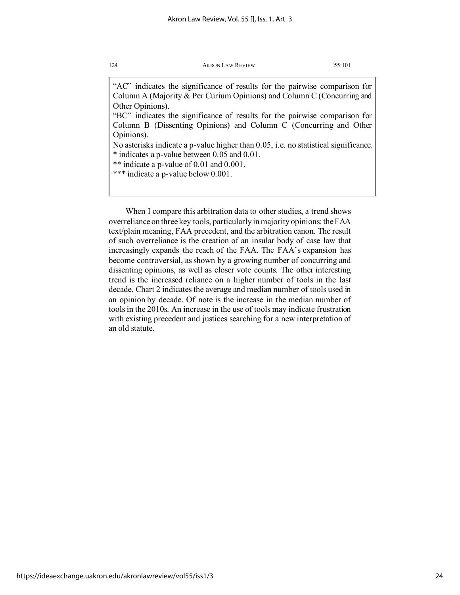"AC" indicates the significance of results for the pairwise comparison for Column A (Majority & Per Curium Opinions) and Column C (Concurring and Other Opinions).

"BC" indicates the significance of results for the pairwise comparison for Column B (Dissenting Opinions) and Column C (Concurring and Other Opinions).

No asterisks indicate a p-value higher than 0.05, i.e. no statistical significance. \* indicates a p-value between 0.05 and 0.01.

\*\* indicate a p-value of 0.01 and 0.001.

\*\*\* indicate a p-value below 0.001.

When I compare this arbitration data to other studies, a trend shows overreliance on three key tools, particularly in majority opinions: the FAA text/plain meaning, FAA precedent, and the arbitration canon. The result of such overreliance is the creation of an insular body of case law that increasingly expands the reach of the FAA. The FAA's expansion has become controversial, as shown by a growing number of concurring and dissenting opinions, as well as closer vote counts. The other interesting trend is the increased reliance on a higher number of tools in the last decade. Chart 2 indicates the average and median number of tools used in an opinion by decade. Of note is the increase in the median number of tools in the 2010s. An increase in the use of tools may indicate frustration with existing precedent and justices searching for a new interpretation of an old statute.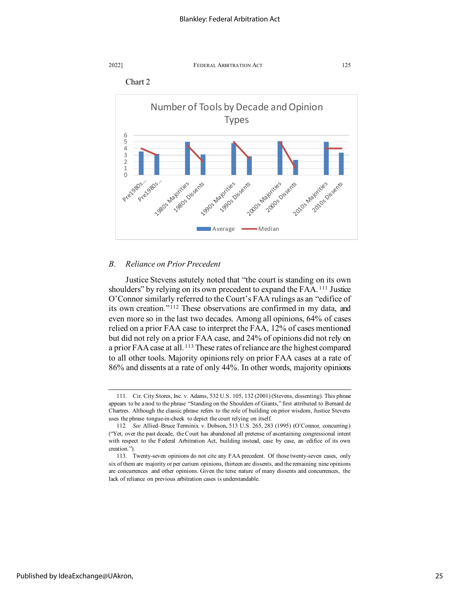





# *B. Reliance on Prior Precedent*

Justice Stevens astutely noted that "the court is standing on its own shoulders" by relying on its own precedent to expand the FAA. [111](#page-25-0) Justice O'Connor similarly referred to the Court's FAA rulings as an "edifice of its own creation."[112](#page-25-1) These observations are confirmed in my data, and even more so in the last two decades. Among all opinions, 64% of cases relied on a prior FAA case to interpret the FAA, 12% of cases mentioned but did not rely on a prior FAA case, and 24% of opinions did not rely on a prior FAA case at all.<sup>[113](#page-25-2)</sup> These rates of reliance are the highest compared to all other tools. Majority opinions rely on prior FAA cases at a rate of 86% and dissents at a rate of only 44%. In other words, majority opinions

<span id="page-25-0"></span><sup>111.</sup> Cir. City Stores, Inc. v. Adams, 532 U.S. 105, 132 (2001) (Stevens, dissenting). This phrase appears to be a nod to the phrase "Standing on the Shoulders of Giants," first attributed to Bernard de Chartres. Although the classic phrase refers to the role of building on prior wisdom, Justice Stevens uses the phrase tongue-in-cheek to depict the court relying on itself.

<span id="page-25-1"></span><sup>112</sup>*. See* Allied–Bruce Terminix v. Dobson, 513 U.S. 265, 283 (1995) (O'Connor, concurring) ("Yet, over the past decade, the Court has abandoned all pretense of ascertaining congressional intent with respect to the Federal Arbitration Act, building instead, case by case, an edifice of its own creation.").

<span id="page-25-2"></span><sup>113.</sup> Twenty-seven opinions do not cite any FAA precedent. Of those twenty-seven cases, only six of them are majority or per curium opinions, thirteen are dissents, and the remaining nine opinions are concurrences and other opinions. Given the terse nature of many dissents and concurrences, the lack of reliance on previous arbitration cases is understandable.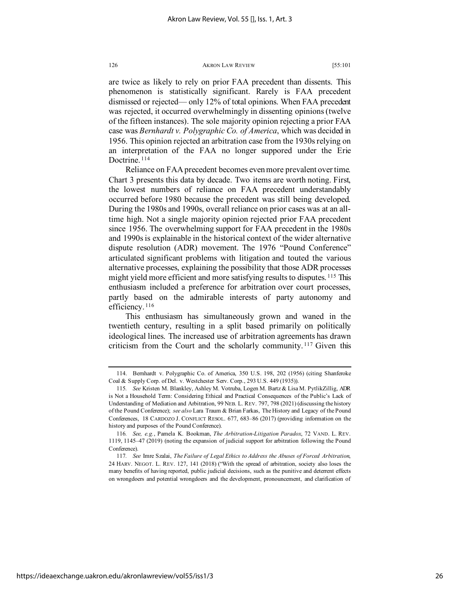are twice as likely to rely on prior FAA precedent than dissents. This phenomenon is statistically significant. Rarely is FAA precedent dismissed or rejected— only 12% of total opinions. When FAA precedent was rejected, it occurred overwhelmingly in dissenting opinions (twelve of the fifteen instances). The sole majority opinion rejecting a prior FAA case was *Bernhardt v. Polygraphic Co. of America*, which was decided in 1956. This opinion rejected an arbitration case from the 1930s relying on an interpretation of the FAA no longer suppored under the Erie Doctrine. [114](#page-26-0)

Reliance on FAA precedent becomes even more prevalent over time. Chart 3 presents this data by decade. Two items are worth noting. First, the lowest numbers of reliance on FAA precedent understandably occurred before 1980 because the precedent was still being developed. During the 1980s and 1990s, overall reliance on prior cases was at an alltime high. Not a single majority opinion rejected prior FAA precedent since 1956. The overwhelming support for FAA precedent in the 1980s and 1990s is explainable in the historical context of the wider alternative dispute resolution (ADR) movement. The 1976 "Pound Conference" articulated significant problems with litigation and touted the various alternative processes, explaining the possibility that those ADR processes might yield more efficient and more satisfying results to disputes. [115](#page-26-1) This enthusiasm included a preference for arbitration over court processes, partly based on the admirable interests of party autonomy and efficiency.<sup>[116](#page-26-2)</sup>

This enthusiasm has simultaneously grown and waned in the twentieth century, resulting in a split based primarily on politically ideological lines. The increased use of arbitration agreements has drawn criticism from the Court and the scholarly community. [117](#page-26-3) Given this

<span id="page-26-0"></span><sup>114.</sup> Bernhardt v. Polygraphic Co. of America, 350 U.S. 198, 202 (1956) (citing Shanferoke Coal & Supply Corp. of Del. v. Westchester Serv. Corp., 293 U.S. 449 (1935)).

<span id="page-26-1"></span><sup>115</sup>*. See* Kristen M. Blankley, Ashley M. Votruba, Logen M. Bartz & Lisa M. PytlikZillig, ADR is Not a Household Term: Considering Ethical and Practical Consequences of the Public's Lack of Understanding of Mediation and Arbitration, 99 NEB. L. REV. 797, 798 (2021) (discussing the history of the Pound Conference); *see also* Lara Traum & Brian Farkas, The History and Legacy of the Pound Conferences, 18 CARDOZO J. CONFLICT RESOL. 677, 683–86 (2017) (providing information on the history and purposes of the Pound Conference).

<span id="page-26-2"></span><sup>116</sup>*. See, e.g.*, Pamela K. Bookman, *The Arbitration-Litigation Paradox*, 72 VAND. L. REV. 1119, 1145–47 (2019) (noting the expansion of judicial support for arbitration following the Pound Conference).

<span id="page-26-3"></span><sup>117</sup>*. See* Imre Szalai, *The Failure of Legal Ethics to Address the Abuses of Forced Arbitration*, 24 HARV. NEGOT. L. REV. 127, 141 (2018) ("With the spread of arbitration, society also loses the many benefits of having reported, public judicial decisions, such as the punitive and deterrent effects on wrongdoers and potential wrongdoers and the development, pronouncement, and clarification of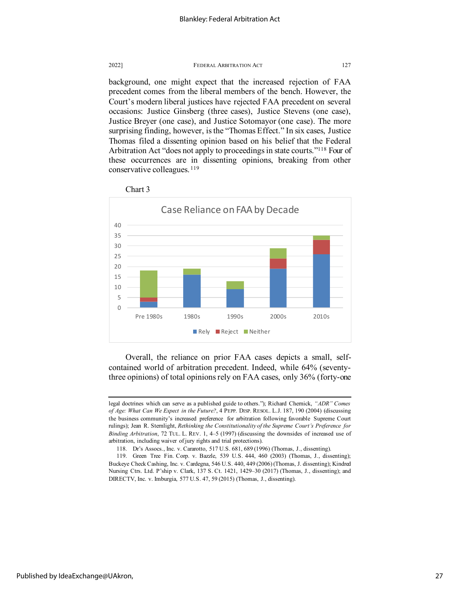

background, one might expect that the increased rejection of FAA precedent comes from the liberal members of the bench. However, the Court's modern liberal justices have rejected FAA precedent on several occasions: Justice Ginsberg (three cases), Justice Stevens (one case), Justice Breyer (one case), and Justice Sotomayor (one case). The more surprising finding, however, is the "Thomas Effect." In six cases, Justice Thomas filed a dissenting opinion based on his belief that the Federal Arbitration Act "does not apply to proceedings in state courts.["118](#page-27-0) Four of these occurrences are in dissenting opinions, breaking from other conservative colleagues.<sup>[119](#page-27-1)</sup>



Chart 3

Overall, the reliance on prior FAA cases depicts a small, selfcontained world of arbitration precedent. Indeed, while 64% (seventythree opinions) of total opinions rely on FAA cases, only 36% (forty-one

legal doctrines which can serve as a published guide to others."); Richard Chernick, *"ADR" Comes of Age: What Can We Expect in the Future?*, 4 PEPP. DISP. RESOL. L.J. 187, 190 (2004) (discussing the business community's increased preference for arbitration following favorable Supreme Court rulings); Jean R. Sternlight, *Rethinking the Constitutionality of the Supreme Court's Preference for Binding Arbitration*, 72 TUL. L. REV. 1, 4–5 (1997) (discussing the downsides of increased use of arbitration, including waiver of jury rights and trial protections).

<sup>118.</sup> Dr's Assocs., Inc. v. Cararotto, 517 U.S. 681, 689 (1996) (Thomas, J., dissenting).

<span id="page-27-1"></span><span id="page-27-0"></span><sup>119.</sup> Green Tree Fin. Corp. v. Bazzle, 539 U.S. 444, 460 (2003) (Thomas, J., dissenting); Buckeye Check Cashing, Inc. v. Cardegna, 546 U.S. 440, 449 (2006) (Thomas, J. dissenting); Kindred Nursing Ctrs. Ltd. P'ship v. Clark, 137 S. Ct. 1421, 1429–30 (2017) (Thomas, J., dissenting); and DIRECTV, Inc. v. Imburgia, 577 U.S. 47, 59 (2015) (Thomas, J., dissenting).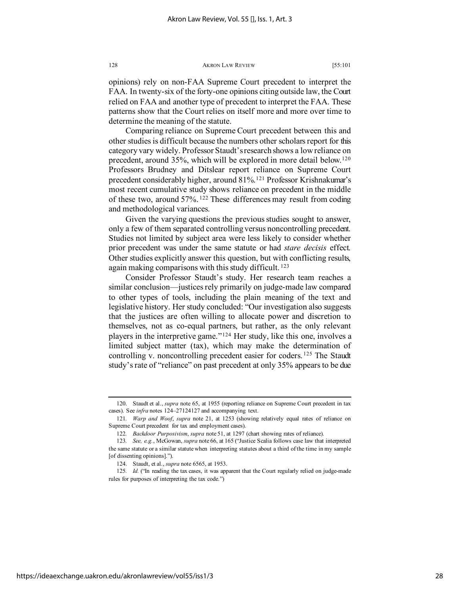opinions) rely on non-FAA Supreme Court precedent to interpret the FAA. In twenty-six of the forty-one opinions citing outside law, the Court relied on FAA and another type of precedent to interpret the FAA. These patterns show that the Court relies on itself more and more over time to determine the meaning of the statute.

Comparing reliance on Supreme Court precedent between this and other studies is difficult because the numbers other scholars report for this category vary widely. Professor Staudt's research shows a low reliance on precedent, around 35%, which will be explored in more detail below.[120](#page-28-1) Professors Brudney and Ditslear report reliance on Supreme Court precedent considerably higher, around 81%.[121](#page-28-2) Professor Krishnakumar's most recent cumulative study shows reliance on precedent in the middle of these two, around 57%. [122](#page-28-3) These differences may result from coding and methodological variances.

Given the varying questions the previous studies sought to answer, only a few of them separated controlling versus noncontrolling precedent. Studies not limited by subject area were less likely to consider whether prior precedent was under the same statute or had *stare decisis* effect. Other studies explicitly answer this question, but with conflicting results, again making comparisons with this study difficult.<sup>[123](#page-28-4)</sup>

<span id="page-28-0"></span>Consider Professor Staudt's study. Her research team reaches a similar conclusion—justices rely primarily on judge-made law compared to other types of tools, including the plain meaning of the text and legislative history. Her study concluded: "Our investigation also suggests that the justices are often willing to allocate power and discretion to themselves, not as co-equal partners, but rather, as the only relevant players in the interpretive game."[124](#page-28-5) Her study, like this one, involves a limited subject matter (tax), which may make the determination of controlling v. noncontrolling precedent easier for coders. [125](#page-28-6) The Staudt study's rate of "reliance" on past precedent at only 35% appears to be due

<span id="page-28-1"></span><sup>120.</sup> Staudt et al., *supra* note 65, at 1955 (reporting reliance on Supreme Court precedent in tax cases). See *infra* notes 124–2[7124](#page-28-0)[127](#page-29-0) and accompanying text.

<span id="page-28-2"></span><sup>121</sup>*. Warp and Woof*, *supra* note 21, at 1253 (showing relatively equal rates of reliance on Supreme Court precedent for tax and employment cases).

<sup>122</sup>*. Backdoor Purposivism*, *supra* note 51, at 1297 (chart showing rates of reliance).

<span id="page-28-4"></span><span id="page-28-3"></span><sup>123</sup>*. See, e.g.*, McGowan, *supra* note 66, at 165 ("Justice Scalia follows case law that interpreted the same statute or a similar statute when interpreting statutes about a third of the time in my sample [of dissenting opinions].").

<sup>124.</sup> Staudt, et al., *supra* note 6[565,](#page-12-7) at 1953.

<span id="page-28-6"></span><span id="page-28-5"></span><sup>125</sup>*. Id.* ("In reading the tax cases, it was apparent that the Court regularly relied on judge-made rules for purposes of interpreting the tax code.")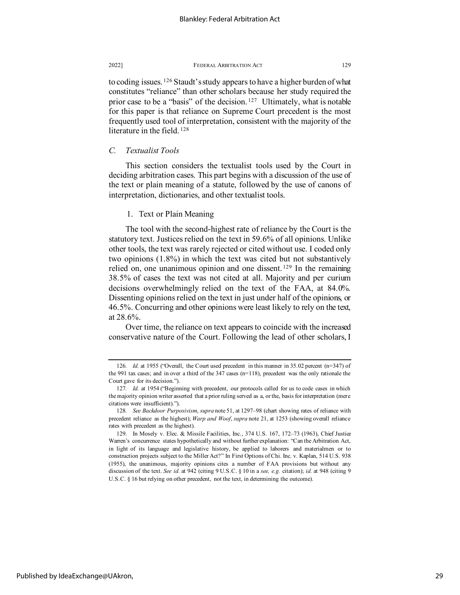<span id="page-29-0"></span>to coding issues. [126](#page-29-1) Staudt's study appears to have a higher burden of what constitutes "reliance" than other scholars because her study required the prior case to be a "basis" of the decision.<sup>[127](#page-29-2)</sup> Ultimately, what is notable for this paper is that reliance on Supreme Court precedent is the most frequently used tool of interpretation, consistent with the majority of the literature in the field. [128](#page-29-3)

# *C. Textualist Tools*

This section considers the textualist tools used by the Court in deciding arbitration cases. This part begins with a discussion of the use of the text or plain meaning of a statute, followed by the use of canons of interpretation, dictionaries, and other textualist tools.

# 1. Text or Plain Meaning

The tool with the second-highest rate of reliance by the Court is the statutory text. Justices relied on the text in 59.6% of all opinions. Unlike other tools, the text was rarely rejected or cited without use. I coded only two opinions (1.8%) in which the text was cited but not substantively relied on, one unanimous opinion and one dissent.<sup>[129](#page-29-4)</sup> In the remaining 38.5% of cases the text was not cited at all. Majority and per curium decisions overwhelmingly relied on the text of the FAA, at 84.0%. Dissenting opinions relied on the text in just under half of the opinions, or 46.5%. Concurring and other opinions were least likely to rely on the text, at 28.6%.

Over time, the reliance on text appears to coincide with the increased conservative nature of the Court. Following the lead of other scholars, I

<span id="page-29-1"></span><sup>126</sup>*. Id.* at 1955 ("Overall, the Court used precedent in this manner in 35.02 percent (n=347) of the 991 tax cases; and in over a third of the 347 cases (n=118), precedent was the only rationale the Court gave for its decision.").

<span id="page-29-2"></span><sup>127</sup>*. Id.* at 1954 ("Beginning with precedent, our protocols called for us to code cases in which the majority opinion writer asserted that a prior ruling served as a, or the, basis for interpretation (mere citations were insufficient).").

<span id="page-29-3"></span><sup>128</sup>*. See Backdoor Purposivism*, *supra* note 51, at 1297–98 (chart showing rates of reliance with precedent reliance as the highest); *Warp and Woof*, *supra* note 21, at 1253 (showing overall reliance rates with precedent as the highest).

<span id="page-29-4"></span><sup>129.</sup> In Mosely v. Elec. & Missile Facilities, Inc., 374 U.S. 167, 172–73 (1963), Chief Justice Warren's concurrence states hypothetically and without further explanation: "Can the Arbitration Act, in light of its language and legislative history, be applied to laborers and materialmen or to construction projects subject to the Miller Act?" In First Options of Chi. Inc. v. Kaplan, 514 U.S. 938 (1955), the unanimous, majority opinions cites a number of FAA provisions but without any discussion of the text. *See id.* at 942 (citing 9 U.S.C. § 10 in a *see, e.g.* citation); *id.* at 948 (citing 9 U.S.C. § 16 but relying on other precedent, not the text, in determining the outcome).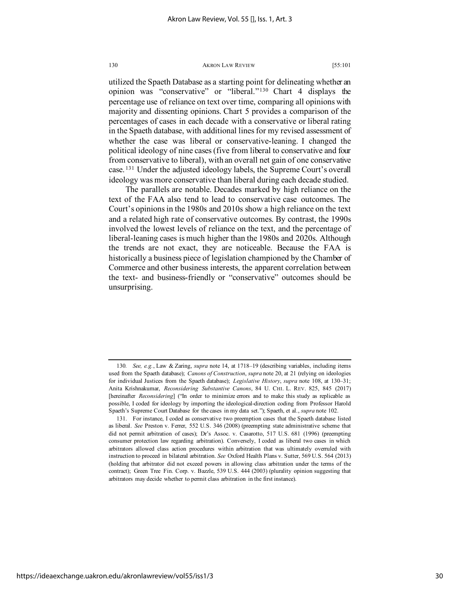utilized the Spaeth Database as a starting point for delineating whether an opinion was "conservative" or "liberal."[130](#page-30-0) Chart 4 displays the percentage use of reliance on text over time, comparing all opinions with majority and dissenting opinions. Chart 5 provides a comparison of the percentages of cases in each decade with a conservative or liberal rating in the Spaeth database, with additional lines for my revised assessment of whether the case was liberal or conservative-leaning. I changed the political ideology of nine cases (five from liberal to conservative and four from conservative to liberal), with an overall net gain of one conservative case. [131](#page-30-1) Under the adjusted ideology labels, the Supreme Court's overall ideology was more conservative than liberal during each decade studied.

The parallels are notable. Decades marked by high reliance on the text of the FAA also tend to lead to conservative case outcomes. The Court's opinions in the 1980s and 2010s show a high reliance on the text and a related high rate of conservative outcomes. By contrast, the 1990s involved the lowest levels of reliance on the text, and the percentage of liberal-leaning cases is much higher than the 1980s and 2020s. Although the trends are not exact, they are noticeable. Because the FAA is historically a business piece of legislation championed by the Chamber of Commerce and other business interests, the apparent correlation between the text- and business-friendly or "conservative" outcomes should be unsurprising.

<span id="page-30-0"></span><sup>130</sup>*. See, e.g.*, Law & Zaring, *supra* note 14, at 1718–19 (describing variables, including items used from the Spaeth database); *Canons of Construction*, *supra* note 20, at 21 (relying on ideologies for individual Justices from the Spaeth database); *Legislative History*, *supra* note 108, at 130–31; Anita Krishnakumar, *Reconsidering Substantive Canons*, 84 U. CHI. L. REV. 825, 845 (2017) [hereinafter *Reconsidering*] ("In order to minimize errors and to make this study as replicable as possible, I coded for ideology by importing the ideological-direction coding from Professor Harold Spaeth's Supreme Court Database for the cases in my data set."); Spaeth, et al., *supra* note 102.

<span id="page-30-1"></span><sup>131.</sup> For instance, I coded as conservative two preemption cases that the Spaeth database listed as liberal. *See* Preston v. Ferrer, 552 U.S. 346 (2008) (preempting state administrative scheme that did not permit arbitration of cases); Dr's Assoc. v. Casarotto, 517 U.S. 681 (1996) (preempting consumer protection law regarding arbitration). Conversely, I coded as liberal two cases in which arbitrators allowed class action procedures within arbitration that was ultimately overruled with instruction to proceed in bilateral arbitration. *See* Oxford Health Plans v. Sutter, 569 U.S. 564 (2013) (holding that arbitrator did not exceed powers in allowing class arbitration under the terms of the contract); Green Tree Fin. Corp. v. Bazzle, 539 U.S. 444 (2003) (plurality opinion suggesting that arbitrators may decide whether to permit class arbitration in the first instance).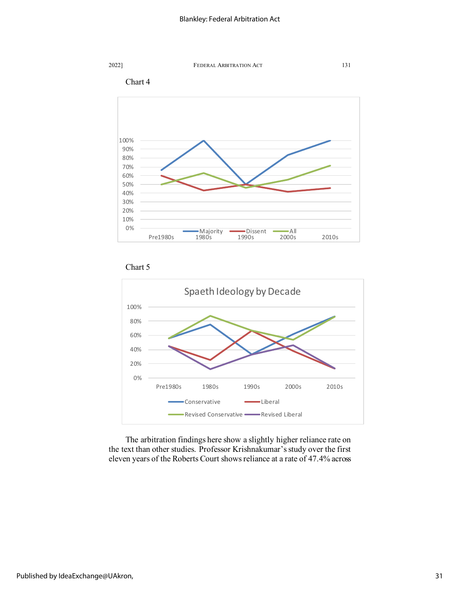





The arbitration findings here show a slightly higher reliance rate on the text than other studies. Professor Krishnakumar's study over the first eleven years of the Roberts Court shows reliance at a rate of 47.4% across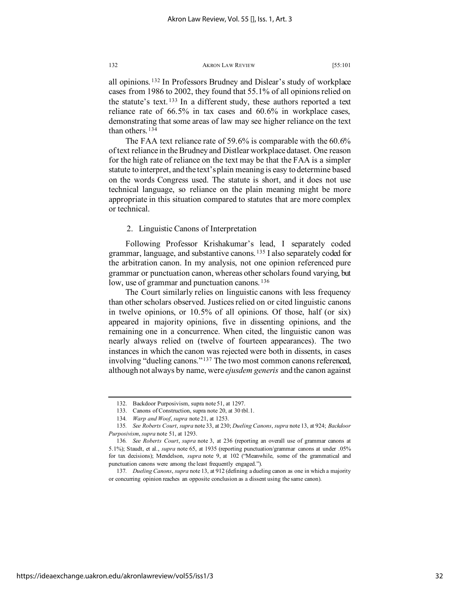all opinions. [132](#page-32-0) In Professors Brudney and Dislear's study of workplace cases from 1986 to 2002, they found that 55.1% of all opinions relied on the statute's text. [133](#page-32-1) In a different study, these authors reported a text reliance rate of 66.5% in tax cases and 60.6% in workplace cases, demonstrating that some areas of law may see higher reliance on the text than others. [134](#page-32-2)

The FAA text reliance rate of 59.6% is comparable with the 60.6% of text reliance in the Brudney and Distlear workplace dataset. One reason for the high rate of reliance on the text may be that the FAA is a simpler statute to interpret, and the text's plain meaning is easy to determine based on the words Congress used. The statute is short, and it does not use technical language, so reliance on the plain meaning might be more appropriate in this situation compared to statutes that are more complex or technical.

# 2. Linguistic Canons of Interpretation

Following Professor Krishakumar's lead, I separately coded grammar, language, and substantive canons. [135](#page-32-3) I also separately coded for the arbitration canon. In my analysis, not one opinion referenced pure grammar or punctuation canon, whereas other scholars found varying, but low, use of grammar and punctuation canons.<sup>[136](#page-32-4)</sup>

The Court similarly relies on linguistic canons with less frequency than other scholars observed. Justices relied on or cited linguistic canons in twelve opinions, or 10.5% of all opinions. Of those, half (or six) appeared in majority opinions, five in dissenting opinions, and the remaining one in a concurrence. When cited, the linguistic canon was nearly always relied on (twelve of fourteen appearances). The two instances in which the canon was rejected were both in dissents, in cases involving "dueling canons."[137](#page-32-5) The two most common canons referenced, although not always by name, were *ejusdem generis* and the canon against

<sup>132.</sup> Backdoor Purposivism, supra note 51, at 1297.

<sup>133.</sup> Canons of Construction, supra note 20, at 30 tbl.1.

<sup>134</sup>*. Warp and Woof*, *supra* note 21, at 1253.

<span id="page-32-3"></span><span id="page-32-2"></span><span id="page-32-1"></span><span id="page-32-0"></span><sup>135</sup>*. See Roberts Court*, *supra* note [33,](#page-2-3) at 230; *Dueling Canons*, *supra* note 13, at 924; *Backdoor Purposivism*, *supra* note 51, at 1293.

<span id="page-32-4"></span><sup>136</sup>*. See Roberts Court*, *supra* note 3, at 236 (reporting an overall use of grammar canons at 5.1%); Staudt, et al., *supra* note 65, at 1935 (reporting punctuation/grammar canons at under .05% for tax decisions); Mendelson, *supra* note 9, at 102 ("Meanwhile, some of the grammatical and punctuation canons were among the least frequently engaged.").

<span id="page-32-5"></span><sup>137</sup>*. Dueling Canons*, *supra* note 13, at 912 (defining a dueling canon as one in which a majority or concurring opinion reaches an opposite conclusion as a dissent using the same canon).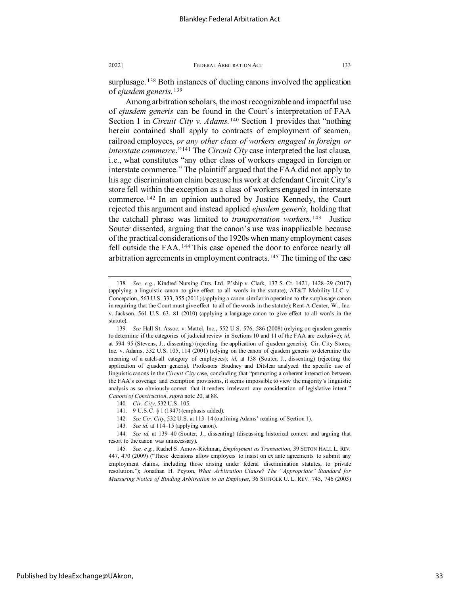surplusage.<sup>[138](#page-33-0)</sup> Both instances of dueling canons involved the application of *ejusdem generis*. [139](#page-33-1)

Among arbitration scholars, the most recognizable and impactful use of *ejusdem generis* can be found in the Court's interpretation of FAA Section 1 in *Circuit City v. Adams*. [140](#page-33-2) Section 1 provides that "nothing herein contained shall apply to contracts of employment of seamen, railroad employees, *or any other class of workers engaged in foreign or interstate commerce*."[141](#page-33-3) The *Circuit City* case interpreted the last clause, i.e., what constitutes "any other class of workers engaged in foreign or interstate commerce." The plaintiff argued that the FAA did not apply to his age discrimination claim because his work at defendant Circuit City's store fell within the exception as a class of workers engaged in interstate commerce. [142](#page-33-4) In an opinion authored by Justice Kennedy, the Court rejected this argument and instead applied *ejusdem generis*, holding that the catchall phrase was limited to *transportation workers*. [143](#page-33-5) Justice Souter dissented, arguing that the canon's use was inapplicable because of the practical considerations of the 1920s when many employment cases fell outside the FAA.<sup>[144](#page-33-6)</sup> This case opened the door to enforce nearly all arbitration agreements in employment contracts.[145](#page-33-7) The timing of the case

<span id="page-33-0"></span><sup>138</sup>*. See, e.g.*, Kindred Nursing Ctrs. Ltd. P'ship v. Clark, 137 S. Ct. 1421, 1428–29 (2017) (applying a linguistic canon to give effect to all words in the statute); AT&T Mobility LLC v. Concepcion, 563 U.S. 333, 355 (2011) (applying a canon similar in operation to the surplusage canon in requiring that the Court must give effect to all of the words in the statute); Rent-A-Center, W., Inc. v. Jackson, 561 U.S. 63, 81 (2010) (applying a language canon to give effect to all words in the statute).

<span id="page-33-1"></span><sup>139</sup>*. See* Hall St. Assoc. v. Mattel, Inc*.*, 552 U.S. 576, 586 (2008) (relying on ejusdem generis to determine if the categories of judicial review in Sections 10 and 11 of the FAA are exclusive); *id.* at 594–95 (Stevens, J., dissenting) (rejecting the application of ejusdem generis); Cir. City Stores, Inc. v. Adams, 532 U.S. 105, 114 (2001) (relying on the canon of ejusdem generis to determine the meaning of a catch-all category of employees); *id.* at 138 (Souter, J., dissenting) (rejecting the application of ejusdem generis). Professors Brudney and Ditslear analyzed the specific use of linguistic canons in the *Circuit City* case, concluding that "promoting a coherent interaction between the FAA's coverage and exemption provisions, it seems impossible to view the majority's linguistic analysis as so obviously correct that it renders irrelevant any consideration of legislative intent." *Canons of Construction*, *supra* note 20, at 88.

<sup>140</sup>*. Cir. City*, 532 U.S. 105.

<sup>141.</sup> 9 U.S.C. § 1 (1947) (emphasis added).

<sup>142</sup>*. See Cir. City*, 532 U.S. at 113–14 (outlining Adams' reading of Section 1).

<sup>143</sup>*. See id.* at 114–15 (applying canon).

<span id="page-33-6"></span><span id="page-33-5"></span><span id="page-33-4"></span><span id="page-33-3"></span><span id="page-33-2"></span><sup>144</sup>*. See id.* at 139–40 (Souter, J., dissenting) (discussing historical context and arguing that resort to the canon was unnecessary).

<span id="page-33-7"></span><sup>145</sup>*. See, e.g.*, Rachel S. Arnow-Richman, *Employment as Transaction,* 39 SETON HALL L. REV. 447, 470 (2009) ("These decisions allow employers to insist on ex ante agreements to submit any employment claims, including those arising under federal discrimination statutes, to private resolution."); Jonathan H. Peyton, *What Arbitration Clause? The "Appropriate" Standard for Measuring Notice of Binding Arbitration to an Employee*, 36 SUFFOLK U. L. REV. 745, 746 (2003)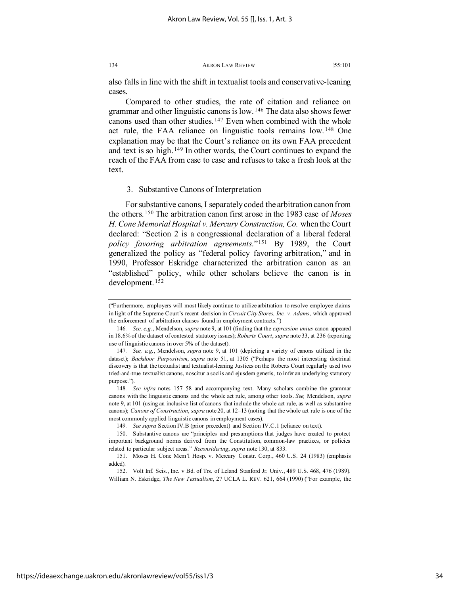also falls in line with the shift in textualist tools and conservative-leaning cases.

Compared to other studies, the rate of citation and reliance on grammar and other linguistic canons is low. [146](#page-34-0) The data also shows fewer canons used than other studies.<sup>[147](#page-34-1)</sup> Even when combined with the whole act rule, the FAA reliance on linguistic tools remains low. [148](#page-34-2) One explanation may be that the Court's reliance on its own FAA precedent and text is so high. [149](#page-34-3) In other words, the Court continues to expand the reach of the FAA from case to case and refuses to take a fresh look at the text.

# 3. Substantive Canons of Interpretation

For substantive canons, I separately coded the arbitration canon from the others. [150](#page-34-4) The arbitration canon first arose in the 1983 case of *Moses H. Cone Memorial Hospital v. Mercury Construction, Co.* when the Court declared: "Section 2 is a congressional declaration of a liberal federal *policy favoring arbitration agreements*."[151](#page-34-5) By 1989, the Court generalized the policy as "federal policy favoring arbitration," and in 1990, Professor Eskridge characterized the arbitration canon as an "established" policy, while other scholars believe the canon is in development. [152](#page-34-6)

<sup>(&</sup>quot;Furthermore, employers will most likely continue to utilize arbitration to resolve employee claims in light of the Supreme Court's recent decision in *Circuit City Stores, Inc. v. Adams*, which approved the enforcement of arbitration clauses found in employment contracts.")

<span id="page-34-0"></span><sup>146</sup>*. See, e.g.*, Mendelson, *supra* note 9, at 101 (finding that the *expression unius* canon appeared in 18.6% of the dataset of contested statutory issues); *Roberts Court*, *supra* note [33,](#page-2-3) at 236 (reporting use of linguistic canons in over 5% of the dataset).

<span id="page-34-1"></span><sup>147</sup>*. See, e.g.*, Mendelson, *supra* note 9, at 101 (depicting a variety of canons utilized in the dataset); *Backdoor Purposivism*, *supra* note 51, at 1305 ("Perhaps the most interesting doctrinal discovery is that the textualist and textualist-leaning Justices on the Roberts Court regularly used two tried-and-true textualist canons, noscitur a sociis and ejusdem generis, to infer an underlying statutory purpose.").

<span id="page-34-2"></span><sup>148</sup>*. See infra* notes 157–58 and accompanying text. Many scholars combine the grammar canons with the linguistic canons and the whole act rule, among other tools. *See,* Mendelson, *supra*  note 9, at 101 (using an inclusive list of canons that include the whole act rule, as well as substantive canons); *Canons of Construction*, *supra* note 20, at 12–13 (noting that the whole act rule is one of the most commonly applied linguistic canons in employment cases).

<sup>149</sup>*. See supra* Section IV.B (prior precedent) and Section IV.C.1 (reliance on text).

<span id="page-34-4"></span><span id="page-34-3"></span><sup>150.</sup> Substantive canons are "principles and presumptions that judges have created to protect important background norms derived from the Constitution, common-law practices, or policies related to particular subject areas." *Reconsidering*, *supra* note 130, at 833.

<span id="page-34-5"></span><sup>151.</sup> Moses H. Cone Mem'l Hosp. v. Mercury Constr. Corp., 460 U.S. 24 (1983) (emphasis added).

<span id="page-34-6"></span><sup>152.</sup> Volt Inf. Scis., Inc. v Bd. of Trs. of Leland Stanford Jr. Univ., 489 U.S. 468, 476 (1989). William N. Eskridge, *The New Textualism*, 27 UCLA L. REV. 621, 664 (1990) ("For example, the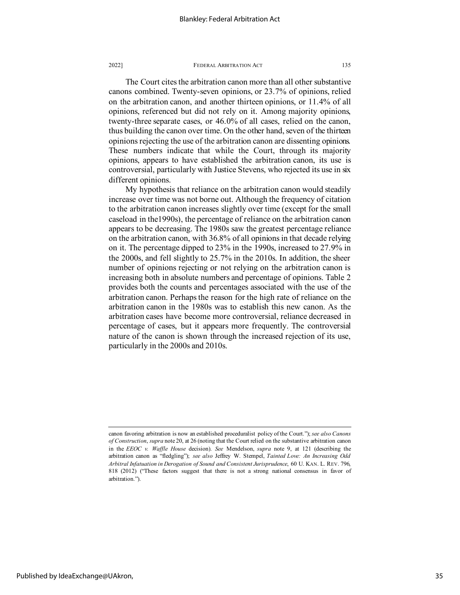The Court cites the arbitration canon more than all other substantive canons combined. Twenty-seven opinions, or 23.7% of opinions, relied on the arbitration canon, and another thirteen opinions, or 11.4% of all opinions, referenced but did not rely on it. Among majority opinions, twenty-three separate cases, or 46.0% of all cases, relied on the canon, thus building the canon over time. On the other hand, seven of the thirteen opinions rejecting the use of the arbitration canon are dissenting opinions. These numbers indicate that while the Court, through its majority opinions, appears to have established the arbitration canon, its use is controversial, particularly with Justice Stevens, who rejected its use in six different opinions.

My hypothesis that reliance on the arbitration canon would steadily increase over time was not borne out. Although the frequency of citation to the arbitration canon increases slightly over time (except for the small caseload in the1990s), the percentage of reliance on the arbitration canon appears to be decreasing. The 1980s saw the greatest percentage reliance on the arbitration canon, with 36.8% of all opinions in that decade relying on it. The percentage dipped to 23% in the 1990s, increased to 27.9% in the 2000s, and fell slightly to 25.7% in the 2010s. In addition, the sheer number of opinions rejecting or not relying on the arbitration canon is increasing both in absolute numbers and percentage of opinions. Table 2 provides both the counts and percentages associated with the use of the arbitration canon. Perhaps the reason for the high rate of reliance on the arbitration canon in the 1980s was to establish this new canon. As the arbitration cases have become more controversial, reliance decreased in percentage of cases, but it appears more frequently. The controversial nature of the canon is shown through the increased rejection of its use, particularly in the 2000s and 2010s.

canon favoring arbitration is now an established proceduralist policy of the Court."); *see also Canons of Construction*, *supra* note 20, at 26 (noting that the Court relied on the substantive arbitration canon in the *EEOC v. Waffle House* decision). *See* Mendelson, *supra* note 9, at 121 (describing the arbitration canon as "fledgling"); *see also* Jeffrey W. Stempel, *Tainted Love: An Increasing Odd Arbitral Infatuation in Derogation of Sound and Consistent Jurisprudence*, 60 U. KAN. L. REV. 796, 818 (2012) ("These factors suggest that there is not a strong national consensus in favor of arbitration.").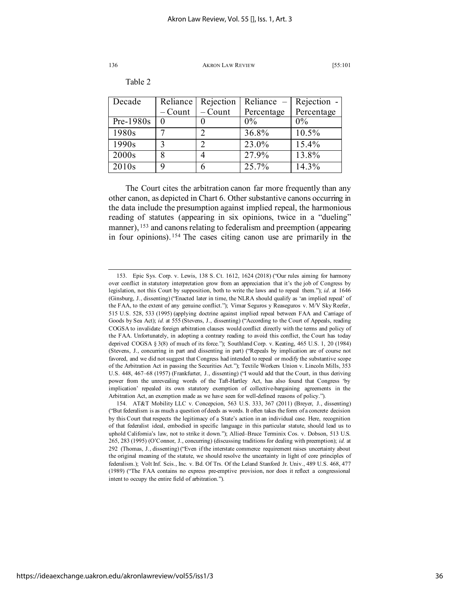Table 2

| Decade            | Reliance  | Rejection | Reliance $-$ | Rejection - |
|-------------------|-----------|-----------|--------------|-------------|
|                   | $-$ Count | $-$ Count | Percentage   | Percentage  |
| $Pre-1980s$       |           |           | $0\%$        | $0\%$       |
| 1980s             |           |           | 36.8%        | 10.5%       |
| 1990s             |           | ി         | 23.0%        | 15.4%       |
| 2000s             |           |           | 27.9%        | 13.8%       |
| 2010 <sub>s</sub> | q         |           | 25.7%        | 14.3%       |

The Court cites the arbitration canon far more frequently than any other canon, as depicted in Chart 6. Other substantive canons occurring in the data include the presumption against implied repeal, the harmonious reading of statutes (appearing in six opinions, twice in a "dueling" manner), <sup>[153](#page-36-0)</sup> and canons relating to federalism and preemption (appearing in four opinions). [154](#page-36-1) The cases citing canon use are primarily in the

<span id="page-36-0"></span><sup>153.</sup> Epic Sys. Corp. v. Lewis, 138 S. Ct. 1612, 1624 (2018) ("Our rules aiming for harmony over conflict in statutory interpretation grow from an appreciation that it's the job of Congress by legislation, not this Court by supposition, both to write the laws and to repeal them."); *id*. at 1646 (Ginsburg, J., dissenting) ("Enacted later in time, the NLRA should qualify as 'an implied repeal' of the FAA, to the extent of any genuine conflict."); Vimar Seguros y Reaseguros v. M/V Sky Reefer, 515 U.S. 528, 533 (1995) (applying doctrine against implied repeal between FAA and Carriage of Goods by Sea Act); *id.* at 555 (Stevens, J., dissenting) ("According to the Court of Appeals, reading COGSA to invalidate foreign arbitration clauses would conflict directly with the terms and policy of the FAA. Unfortunately, in adopting a contrary reading to avoid this conflict, the Court has today deprived COGSA § 3(8) of much of its force."); Southland Corp. v. Keating, 465 U.S. 1, 20 (1984) (Stevens, J., concurring in part and dissenting in part) ("Repeals by implication are of course not favored, and we did not suggest that Congress had intended to repeal or modify the substantive scope of the Arbitration Act in passing the Securities Act."); Textile Workers Union v. Lincoln Mills, 353 U.S. 448, 467–68 (1957) (Frankfurter, J., dissenting) ("I would add that the Court, in thus deriving power from the unrevealing words of the Taft-Hartley Act, has also found that Congress 'by implication' repealed its own statutory exemption of collective-bargaining agreements in the Arbitration Act, an exemption made as we have seen for well-defined reasons of policy.").

<span id="page-36-1"></span><sup>154.</sup> AT&T Mobility LLC v. Concepcion, 563 U.S. 333, 367 (2011) (Breyer, J., dissenting) ("But federalism is as much a question of deeds as words. It often takes the form of a concrete decision by this Court that respects the legitimacy of a State's action in an individual case. Here, recognition of that federalist ideal, embodied in specific language in this particular statute, should lead us to uphold California's law, not to strike it down."); Allied–Bruce Terminix Cos. v. Dobson, 513 U.S. 265, 283 (1995) (O'Connor, J., concurring) (discussing traditions for dealing with preemption); *id.* at 292 (Thomas, J., dissenting) ("Even if the interstate commerce requirement raises uncertainty about the original meaning of the statute, we should resolve the uncertainty in light of core principles of federalism.); Volt Inf. Scis., Inc. v. Bd. Of Trs. Of the Leland Stanford Jr. Univ., 489 U.S. 468, 477 (1989) ("The FAA contains no express pre-emptive provision, nor does it reflect a congressional intent to occupy the entire field of arbitration.").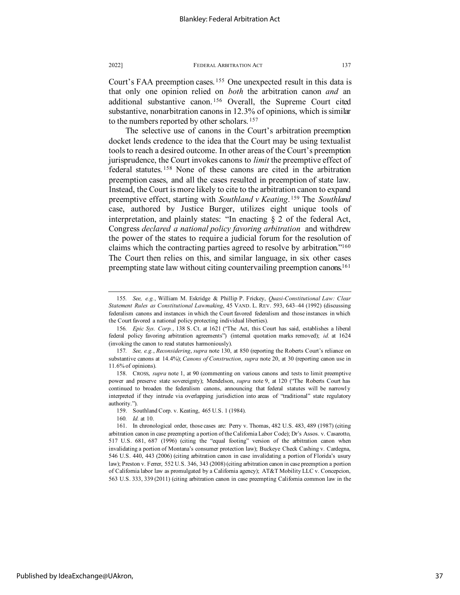Court's FAA preemption cases. [155](#page-37-0) One unexpected result in this data is that only one opinion relied on *both* the arbitration canon *and* an additional substantive canon. [156](#page-37-1) Overall, the Supreme Court cited substantive, nonarbitration canons in 12.3% of opinions, which is similar to the numbers reported by other scholars. [157](#page-37-2)

The selective use of canons in the Court's arbitration preemption docket lends credence to the idea that the Court may be using textualist tools to reach a desired outcome. In other areas of the Court's preemption jurisprudence, the Court invokes canons to *limit* the preemptive effect of federal statutes. [158](#page-37-3) None of these canons are cited in the arbitration preemption cases, and all the cases resulted in preemption of state law. Instead, the Court is more likely to cite to the arbitration canon to expand preemptive effect, starting with *Southland v Keating*. [159](#page-37-4) The *Southland* case, authored by Justice Burger, utilizes eight unique tools of interpretation, and plainly states: "In enacting § 2 of the federal Act, Congress *declared a national policy favoring arbitration* and withdrew the power of the states to require a judicial forum for the resolution of claims which the contracting parties agreed to resolve by arbitration.["160](#page-37-5) The Court then relies on this, and similar language, in six other cases preempting state law without citing countervailing preemption canons.<sup>161</sup>

<span id="page-37-0"></span><sup>155</sup>*. See, e.g.*, William M. Eskridge & Phillip P. Frickey, *Quasi-Constitutional Law: Clear Statement Rules as Constitutional Lawmaking*, 45 VAND. L. REV. 593, 643–44 (1992) (discussing federalism canons and instances in which the Court favored federalism and those instances in which the Court favored a national policy protecting individual liberties).

<span id="page-37-1"></span><sup>156</sup>*. Epic Sys. Corp.*, 138 S. Ct. at 1621 ("The Act, this Court has said, establishes a liberal federal policy favoring arbitration agreements") (internal quotation marks removed); *id.* at 1624 (invoking the canon to read statutes harmoniously).

<span id="page-37-2"></span><sup>157</sup>*. See, e.g.*, *Reconsidering*, *supra* note 130, at 850 (reporting the Roberts Court's reliance on substantive canons at 14.4%); *Canons of Construction*, *supra* note 20, at 30 (reporting canon use in 11.6% of opinions).

<span id="page-37-3"></span><sup>158.</sup> CROSS, *supra* note 1, at 90 (commenting on various canons and tests to limit preemptive power and preserve state sovereignty); Mendelson, *supra* note 9, at 120 ("The Roberts Court has continued to broaden the federalism canons, announcing that federal statutes will be narrowly interpreted if they intrude via overlapping jurisdiction into areas of "traditional" state regulatory authority.").

<sup>159.</sup> Southland Corp. v. Keating, 465 U.S. 1 (1984).

<sup>160</sup>*. Id.* at 10.

<span id="page-37-6"></span><span id="page-37-5"></span><span id="page-37-4"></span><sup>161.</sup> In chronological order, those cases are: Perry v. Thomas, 482 U.S. 483, 489 (1987) (citing arbitration canon in case preempting a portion of the California Labor Code); Dr's Assos. v. Casarotto, 517 U.S. 681, 687 (1996) (citing the "equal footing" version of the arbitration canon when invalidating a portion of Montana's consumer protection law); Buckeye Check Cashing v. Cardegna, 546 U.S. 440, 443 (2006) (citing arbitration canon in case invalidating a portion of Florida's usury law); Preston v. Ferrer, 552 U.S. 346, 343 (2008) (citing arbitration canon in case preemption a portion of California labor law as promulgated by a California agency); AT&T Mobility LLC v. Concepcion, 563 U.S. 333, 339 (2011) (citing arbitration canon in case preempting California common law in the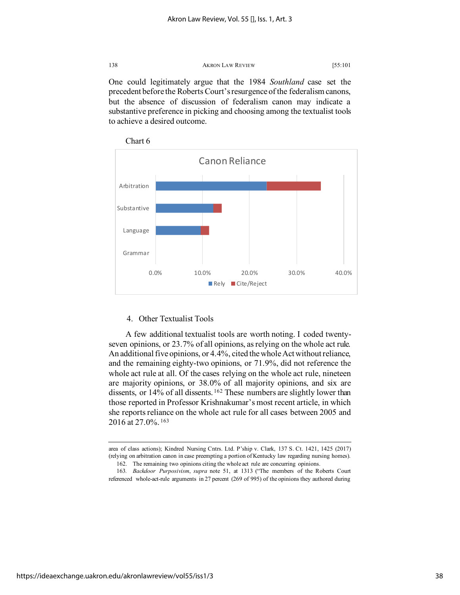One could legitimately argue that the 1984 *Southland* case set the precedent before the Roberts Court's resurgence of the federalism canons, but the absence of discussion of federalism canon may indicate a substantive preference in picking and choosing among the textualist tools to achieve a desired outcome.





# 4. Other Textualist Tools

A few additional textualist tools are worth noting. I coded twentyseven opinions, or 23.7% of all opinions, as relying on the whole act rule. An additional five opinions, or 4.4%, cited the whole Act without reliance, and the remaining eighty-two opinions, or 71.9%, did not reference the whole act rule at all. Of the cases relying on the whole act rule, nineteen are majority opinions, or 38.0% of all majority opinions, and six are dissents, or 14% of all dissents.<sup>[162](#page-38-0)</sup> These numbers are slightly lower than those reported in Professor Krishnakumar's most recent article, in which she reports reliance on the whole act rule for all cases between 2005 and 2016 at 27.0%. [163](#page-38-1)

area of class actions); Kindred Nursing Cntrs. Ltd. P'ship v. Clark, 137 S. Ct. 1421, 1425 (2017) (relying on arbitration canon in case preempting a portion of Kentucky law regarding nursing homes). 162. The remaining two opinions citing the whole act rule are concurring opinions.

<span id="page-38-1"></span><span id="page-38-0"></span><sup>163</sup>*. Backdoor Purposivism*, *supra* note 51, at 1313 ("The members of the Roberts Court referenced whole-act-rule arguments in 27 percent (269 of 995) of the opinions they authored during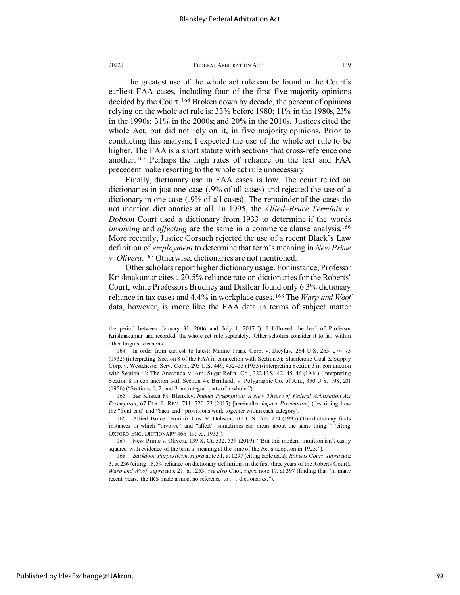The greatest use of the whole act rule can be found in the Court's earliest FAA cases, including four of the first five majority opinions decided by the Court. [164](#page-39-0) Broken down by decade, the percent of opinions relying on the whole act rule is: 33% before 1980; 11% in the 1980s, 23% in the 1990s; 31% in the 2000s; and 20% in the 2010s. Justices cited the whole Act, but did not rely on it, in five majority opinions. Prior to conducting this analysis, I expected the use of the whole act rule to be higher. The FAA is a short statute with sections that cross-reference one another. [165](#page-39-1) Perhaps the high rates of reliance on the text and FAA precedent make resorting to the whole act rule unnecessary.

Finally, dictionary use in FAA cases is low. The court relied on dictionaries in just one case (.9% of all cases) and rejected the use of a dictionary in one case (.9% of all cases). The remainder of the cases do not mention dictionaries at all. In 1995, the *Allied–Bruce Terminix v. Dobson* Court used a dictionary from 1933 to determine if the words *involving* and *affecting* are the same in a commerce clause analysis.<sup>[166](#page-39-2)</sup> More recently, Justice Gorsuch rejected the use of a recent Black's Law definition of *employment* to determine that term's meaning in *New Prime v. Olivera*. [167](#page-39-3) Otherwise, dictionaries are not mentioned.

Other scholars report higher dictionary usage. For instance, Professor Krishnakumar cites a 20.5% reliance rate on dictionaries for the Roberts' Court, while Professors Brudney and Distlear found only 6.3% dictionary reliance in tax cases and 4.4% in workplace cases. [168](#page-39-4) The *Warp and Woof* data, however, is more like the FAA data in terms of subject matter

<span id="page-39-1"></span>165*. See* Kristen M. Blankley, *Impact Preemption: A New Theory of Federal Arbitration Act Preemption*, 67 FLA. L. REV. 711, 720–23 (2015) [hereinafter *Impact Preemption*] (describing how the "front end" and "back end" provisions work together within each category).

<span id="page-39-2"></span>166. Allied–Bruce Terminix Cos. V. Dobson, 513 U.S. 265, 274 (1995) (The dictionary finds instances in which "involve" and "affect" sometimes can mean about the same thing.") (citing OXFORD ENG. DICTIONARY 466 (1st ed. 1933)).

<span id="page-39-3"></span>167. New Prime v. Olivera, 139 S. Ct. 532, 539 (2019) ("But this modern intuition isn't easily squared with evidence of the term's meaning at the time of the Act's adoption in 1925.").

<span id="page-39-4"></span>168*. Backdoor Purposivism*, *supra* note 51, at 1297 (citing table data); *Roberts Court*, *supra* note 3, at 236 (citing 18.5% reliance on dictionary definitions in the first three years of the Roberts Court); *Warp and Woof*, *supra* note 21, at 1253; *see also* Choi, *supra* note 17, at 397 (finding that "in many recent years, the IRS made almost no reference to . . . dictionaries.").

the period between January 31, 2006 and July 1, 2017."). I followed the lead of Professor Krishnakumar and recorded the whole act rule separately. Other scholars consider it to fall within other linguistic canons.

<span id="page-39-0"></span><sup>164.</sup> In order from earliest to latest: Marine Trans. Corp. v. Dreyfus, 284 U.S. 263, 274–75 (1932) (interpreting Section 8 of the FAA in connection with Section 3); Shanferoke Coal & Supply Corp. v. Westchester Serv. Corp., 293 U.S. 449, 452–53 (1935) (interpreting Section 3 in conjunction with Section 4); The Anaconda v. Am. Sugar Refin. Co*.*, 322 U.S. 42, 45–46 (1944) (interpreting Section 8 in conjunction with Section 4); Bernhardt v. Polygraphic Co. of Am., 350 U.S. 198, 201 (1956) ("Sections 1, 2, and 3 are integral parts of a whole.").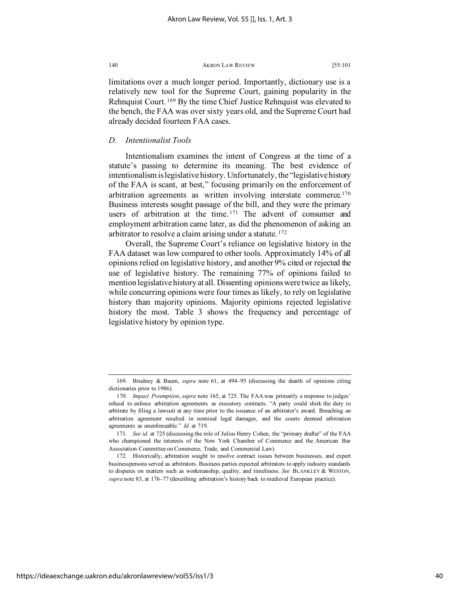limitations over a much longer period. Importantly, dictionary use is a relatively new tool for the Supreme Court, gaining popularity in the Rehnquist Court. [169](#page-40-0) By the time Chief Justice Rehnquist was elevated to the bench, the FAA was over sixty years old, and the Supreme Court had already decided fourteen FAA cases.

# *D. Intentionalist Tools*

Intentionalism examines the intent of Congress at the time of a statute's passing to determine its meaning. The best evidence of intentionalism is legislative history. Unfortunately, the "legislative history of the FAA is scant, at best," focusing primarily on the enforcement of arbitration agreements as written involving interstate commerce.<sup>[170](#page-40-1)</sup> Business interests sought passage of the bill, and they were the primary users of arbitration at the time. [171](#page-40-2) The advent of consumer and employment arbitration came later, as did the phenomenon of asking an arbitrator to resolve a claim arising under a statute. [172](#page-40-3)

Overall, the Supreme Court's reliance on legislative history in the FAA dataset was low compared to other tools. Approximately 14% of all opinions relied on legislative history, and another 9% cited or rejected the use of legislative history. The remaining 77% of opinions failed to mention legislative history at all. Dissenting opinions were twice as likely, while concurring opinions were four times as likely, to rely on legislative history than majority opinions. Majority opinions rejected legislative history the most. Table 3 shows the frequency and percentage of legislative history by opinion type.

<span id="page-40-0"></span><sup>169.</sup> Brudney & Baum, *supra* note 61, at 494–95 (discussing the dearth of opinions citing dictionaries prior to 1986).

<span id="page-40-1"></span><sup>170</sup>*. Impact Preemption*, *supra* note 165, at 725. The FAA was primarily a response to judges' refusal to enforce arbitration agreements as executory contracts. "A party could shirk the duty to arbitrate by filing a lawsuit at any time prior to the issuance of an arbitrator's award. Breaching an arbitration agreement resulted in nominal legal damages, and the courts deemed arbitration agreements as unenforceable." *Id.* at 719.

<span id="page-40-2"></span><sup>171</sup>*. See id.* at 725 (discussing the role of Julius Henry Cohen, the "primary drafter" of the FAA who championed the interests of the New York Chamber of Commerce and the American Bar Association Committee on Commerce, Trade, and Commercial Law).

<span id="page-40-3"></span><sup>172.</sup> Historically, arbitration sought to resolve contract issues between businesses, and expert businesspersons served as arbitrators. Business parties expected arbitrators to apply industry standards to disputes on matters such as workmanship, quality, and timeliness. *See* BLANKLEY & WESTON, *supra* note 83, at 176–77 (describing arbitration's history back to medieval European practice).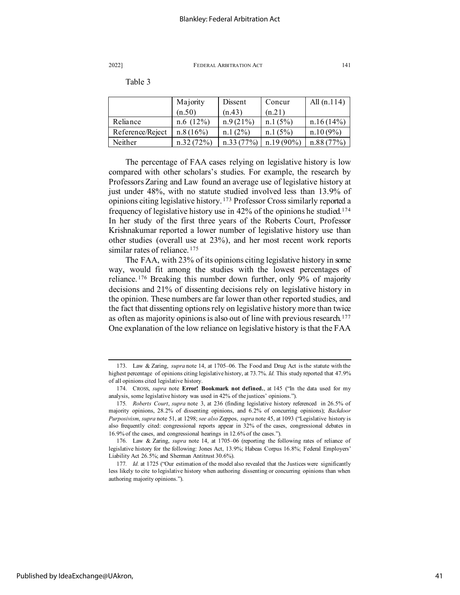Table 3

|                  | Majority  | Dissent     | Concur       | All $(n.114)$ |
|------------------|-----------|-------------|--------------|---------------|
|                  | (n.50)    | (n.43)      | (n.21)       |               |
| Reliance         | n.6(12%)  | $n.9(21\%)$ | n.1(5%)      | n.16(14%)     |
| Reference/Reject | n.8(16%)  | $n.1(2\%)$  | n.1(5%)      | $n.10(9\%)$   |
| Neither          | n.32(72%) | n.33(77%)   | $n.19(90\%)$ | n.88(77%)     |

The percentage of FAA cases relying on legislative history is low compared with other scholars's studies. For example, the research by Professors Zaring and Law found an average use of legislative history at just under 48%, with no statute studied involved less than 13.9% of opinions citing legislative history. [173](#page-41-0) Professor Cross similarly reported a frequency of legislative history use in 42% of the opinions he studied.[174](#page-41-1) In her study of the first three years of the Roberts Court, Professor Krishnakumar reported a lower number of legislative history use than other studies (overall use at 23%), and her most recent work reports similar rates of reliance.<sup>[175](#page-41-2)</sup>

The FAA, with 23% of its opinions citing legislative history in some way, would fit among the studies with the lowest percentages of reliance. [176](#page-41-3) Breaking this number down further, only 9% of majority decisions and 21% of dissenting decisions rely on legislative history in the opinion. These numbers are far lower than other reported studies, and the fact that dissenting options rely on legislative history more than twice as often as majority opinions is also out of line with previous research.<sup>[177](#page-41-4)</sup> One explanation of the low reliance on legislative history is that the FAA

<span id="page-41-0"></span><sup>173.</sup> Law & Zaring, *supra* note 14, at 1705–06. The Food and Drug Act is the statute with the highest percentage of opinions citing legislative history, at 73.7%. *Id.* This study reported that 47.9% of all opinions cited legislative history.

<span id="page-41-1"></span><sup>174.</sup> CROSS, *supra* note **Error! Bookmark not defined.**, at 145 ("In the data used for my analysis, some legislative history was used in 42% of the justices' opinions.").

<span id="page-41-2"></span><sup>175</sup>*. Roberts Court*, *supra* note 3, at 236 (finding legislative history referenced in 26.5% of majority opinions, 28.2% of dissenting opinions, and 6.2% of concurring opinions); *Backdoor Purposivism*, *supra* note 51, at 1298; *see also* Zeppos, *supra* note 45, at 1093 ("Legislative history is also frequently cited: congressional reports appear in 32% of the cases, congressional debates in 16.9% of the cases, and congressional hearings in 12.6% of the cases.").

<span id="page-41-3"></span><sup>176.</sup> Law & Zaring, *supra* note 14, at 1705–06 (reporting the following rates of reliance of legislative history for the following: Jones Act, 13.9%; Habeas Corpus 16.8%; Federal Employers' Liability Act 26.5%; and Sherman Antitrust 30.6%).

<span id="page-41-4"></span><sup>177</sup>*. Id.* at 1725 ("Our estimation of the model also revealed that the Justices were significantly less likely to cite to legislative history when authoring dissenting or concurring opinions than when authoring majority opinions.").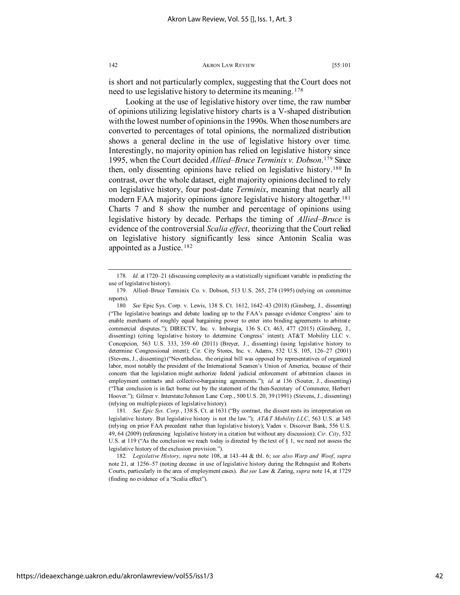is short and not particularly complex, suggesting that the Court does not need to use legislative history to determine its meaning.<sup>[178](#page-42-0)</sup>

Looking at the use of legislative history over time, the raw number of opinions utilizing legislative history charts is a V-shaped distribution with the lowest number of opinions in the 1990s. When those numbers are converted to percentages of total opinions, the normalized distribution shows a general decline in the use of legislative history over time. Interestingly, no majority opinion has relied on legislative history since 1995, when the Court decided *Allied–Bruce Terminix v. Dobson*. [179](#page-42-1) Since then, only dissenting opinions have relied on legislative history.[180](#page-42-2) In contrast, over the whole dataset, eight majority opinions declined to rely on legislative history, four post-date *Terminix*, meaning that nearly all modern FAA majority opinions ignore legislative history altogether.<sup>[181](#page-42-3)</sup> Charts 7 and 8 show the number and percentage of opinions using legislative history by decade. Perhaps the timing of *Allied–Bruce* is evidence of the controversial *Scalia effect*, theorizing that the Court relied on legislative history significantly less since Antonin Scalia was appointed as a Justice. [182](#page-42-4)

<span id="page-42-3"></span>181*. See Epic Sys. Corp.*, 138 S. Ct. at 1631 ("By contrast, the dissent rests its interpretation on legislative history. But legislative history is not the law."); *AT&T Mobility LLC*, 563 U.S. at 345 (relying on prior FAA precedent rather than legislative history); Vaden v. Discover Bank, 556 U.S. 49, 64 (2009) (referencing legislative history in a citation but without any discussion); *Cir. City*, 532 U.S. at 119 ("As the conclusion we reach today is directed by the text of § 1, we need not assess the legislative history of the exclusion provision.").

<span id="page-42-4"></span>182*. Legislative History*, *supra* note 108, at 143–44 & tbl. 6; *see also Warp and Woof*, *supra*  note 21, at 1256–57 (noting decease in use of legislative history during the Rehnquist and Roberts Courts, particularly in the area of employment cases). *But see* Law & Zaring, *supra* note 14, at 1729 (finding no evidence of a "Scalia effect").

<span id="page-42-0"></span><sup>178</sup>*. Id.* at 1720–21 (discussing complexity as a statistically significant variable in predicting the use of legislative history).

<span id="page-42-1"></span><sup>179.</sup> Allied–Bruce Terminix Co. v. Dobson, 513 U.S. 265, 274 (1995) (relying on committee reports).

<span id="page-42-2"></span><sup>180</sup>*. See* Epic Sys. Corp. v. Lewis, 138 S. Ct. 1612, 1642–43 (2018) (Ginsberg, J., dissenting) ("The legislative hearings and debate leading up to the FAA's passage evidence Congress' aim to enable merchants of roughly equal bargaining power to enter into binding agreements to arbitrate commercial disputes."); DIRECTV, Inc. v. Imburgia, 136 S. Ct. 463, 477 (2015) (Ginsberg, J., dissenting) (citing legislative history to determine Congress' intent); AT&T Mobility LLC v. Concepcion, 563 U.S. 333, 359–60 (2011) (Breyer, J., dissenting) (using legislative history to determine Congressional intent); Cir. City Stores, Inc. v. Adams, 532 U.S. 105, 126–27 (2001) (Stevens, J., dissenting) ("Nevertheless, the original bill was opposed by representatives of organized labor, most notably the president of the International Seamen's Union of America, because of their concern that the legislation might authorize federal judicial enforcement of arbitration clauses in employment contracts and collective-bargaining agreements."); *id.* at 136 (Souter, J., dissenting) ("That conclusion is in fact borne out by the statement of the then-Secretary of Commerce, Herbert Hoover."); Gilmer v. Interstate/Johnson Lane Corp., 500 U.S. 20, 39 (1991) (Stevens, J., dissenting) (relying on multiple pieces of legislative history).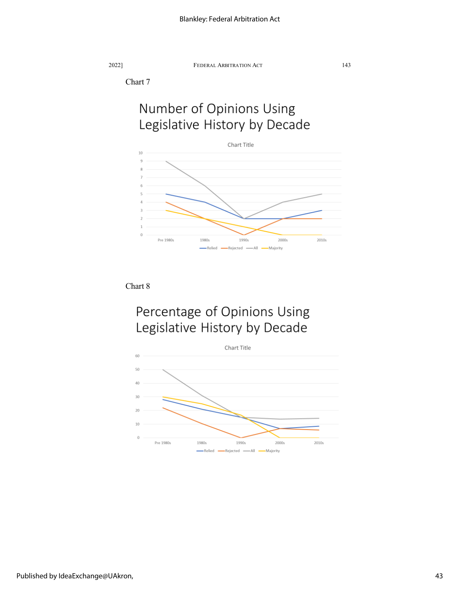Chart 7

# Number of Opinions Using Legislative History by Decade



Chart 8

# Percentage of Opinions Using Legislative History by Decade

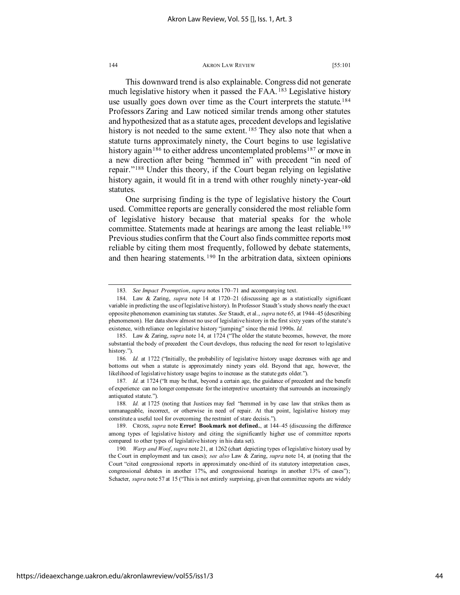This downward trend is also explainable. Congress did not generate much legislative history when it passed the FAA.<sup>[183](#page-44-0)</sup> Legislative history use usually goes down over time as the Court interprets the statute.<sup>[184](#page-44-1)</sup> Professors Zaring and Law noticed similar trends among other statutes and hypothesized that as a statute ages, precedent develops and legislative history is not needed to the same extent.<sup>[185](#page-44-2)</sup> They also note that when a statute turns approximately ninety, the Court begins to use legislative history again<sup>[186](#page-44-3)</sup> to either address uncontemplated problems<sup>[187](#page-44-4)</sup> or move in a new direction after being "hemmed in" with precedent "in need of repair."[188](#page-44-5) Under this theory, if the Court began relying on legislative history again, it would fit in a trend with other roughly ninety-year-old statutes.

One surprising finding is the type of legislative history the Court used. Committee reports are generally considered the most reliable form of legislative history because that material speaks for the whole committee. Statements made at hearings are among the least reliable.[189](#page-44-6) Previous studies confirm that the Court also finds committee reports most reliable by citing them most frequently, followed by debate statements, and then hearing statements.<sup>[190](#page-44-7)</sup> In the arbitration data, sixteen opinions

<sup>183</sup>*. See Impact Preemption*, *supra* notes 170–71 and accompanying text.

<span id="page-44-1"></span><span id="page-44-0"></span><sup>184.</sup> Law & Zaring, *supra* note 14 at 1720–21 (discussing age as a statistically significant variable in predicting the use of legislative history). In Professor Staudt's study shows nearly the exact opposite phenomenon examining tax statutes. *See* Staudt, et al., *supra* note 65, at 1944–45 (describing phenomenon). Her data show almost no use of legislative history in the first sixty years of the statute's existence, with reliance on legislative history "jumping" since the mid 1990s. *Id.*

<span id="page-44-2"></span><sup>185.</sup> Law & Zaring, *supra* note 14, at 1724 ("The older the statute becomes, however, the more substantial the body of precedent the Court develops, thus reducing the need for resort to legislative history.").

<span id="page-44-3"></span><sup>186</sup>*. Id.* at 1722 ("Initially, the probability of legislative history usage decreases with age and bottoms out when a statute is approximately ninety years old. Beyond that age, however, the likelihood of legislative history usage begins to increase as the statute gets older.").

<span id="page-44-4"></span><sup>187</sup>*. Id.* at 1724 ("It may be that, beyond a certain age, the guidance of precedent and the benefit of experience can no longer compensate for the interpretive uncertainty that surrounds an increasingly antiquated statute.").

<span id="page-44-5"></span><sup>188</sup>*. Id.* at 1725 (noting that Justices may feel "hemmed in by case law that strikes them as unmanageable, incorrect, or otherwise in need of repair. At that point, legislative history may constitute a useful tool for overcoming the restraint of stare decisis.").

<span id="page-44-6"></span><sup>189.</sup> CROSS, *supra* note **Error! Bookmark not defined.**, at 144–45 (discussing the difference among types of legislative history and citing the significantly higher use of committee reports compared to other types of legislative history in his data set).

<span id="page-44-7"></span><sup>190</sup>*. Warp and Woof*, *supra* note 21, at 1262 (chart depicting types of legislative history used by the Court in employment and tax cases); *see also* Law & Zaring, *supra* note 14, at (noting that the Court "cited congressional reports in approximately one-third of its statutory interpretation cases, congressional debates in another 17%, and congressional hearings in another 13% of cases"); Schacter, *supra* note 57 at 15 ("This is not entirely surprising, given that committee reports are widely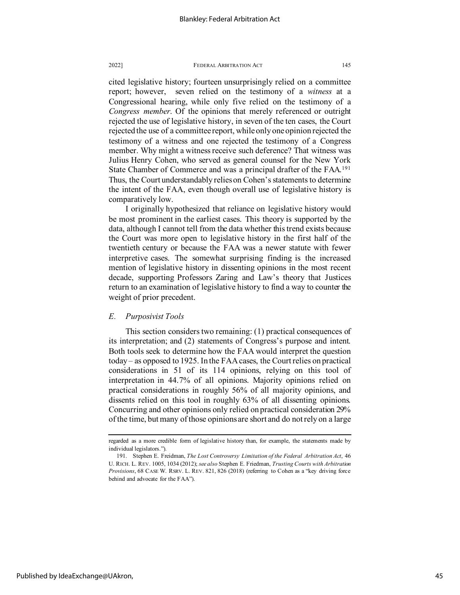cited legislative history; fourteen unsurprisingly relied on a committee report; however, seven relied on the testimony of a *witness* at a Congressional hearing, while only five relied on the testimony of a *Congress member*. Of the opinions that merely referenced or outright rejected the use of legislative history, in seven of the ten cases, the Court rejected the use of a committee report, while only one opinion rejected the testimony of a witness and one rejected the testimony of a Congress member. Why might a witness receive such deference? That witness was Julius Henry Cohen, who served as general counsel for the New York State Chamber of Commerce and was a principal drafter of the FAA.[191](#page-45-0) Thus, the Court understandably relies on Cohen's statements to determine the intent of the FAA, even though overall use of legislative history is comparatively low.

I originally hypothesized that reliance on legislative history would be most prominent in the earliest cases. This theory is supported by the data, although I cannot tell from the data whether this trend exists because the Court was more open to legislative history in the first half of the twentieth century or because the FAA was a newer statute with fewer interpretive cases. The somewhat surprising finding is the increased mention of legislative history in dissenting opinions in the most recent decade, supporting Professors Zaring and Law's theory that Justices return to an examination of legislative history to find a way to counter the weight of prior precedent.

# *E. Purposivist Tools*

This section considers two remaining: (1) practical consequences of its interpretation; and (2) statements of Congress's purpose and intent. Both tools seek to determine how the FAA would interpret the question today – as opposed to 1925. In the FAA cases, the Court relies on practical considerations in 51 of its 114 opinions, relying on this tool of interpretation in 44.7% of all opinions. Majority opinions relied on practical considerations in roughly 56% of all majority opinions, and dissents relied on this tool in roughly 63% of all dissenting opinions. Concurring and other opinions only relied on practical consideration 29% of the time, but many of those opinions are short and do not rely on a large

regarded as a more credible form of legislative history than, for example, the statements made by individual legislators.").

<span id="page-45-0"></span><sup>191.</sup> Stephen E. Freidman, *The Lost Controversy Limitation of the Federal Arbitration Act*, 46 U. RICH. L. REV. 1005, 1034 (2012); *see also* Stephen E. Friedman, *Trusting Courts with Arbitration Provisions*, 68 CASE W. RSRV. L. REV. 821, 826 (2018) (referring to Cohen as a "key driving force behind and advocate for the FAA").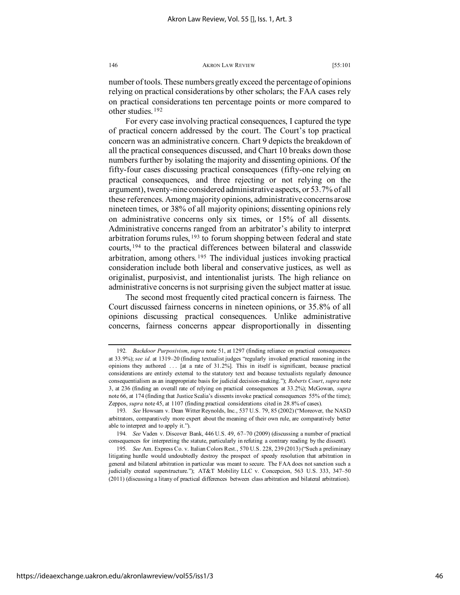number of tools. These numbers greatly exceed the percentage of opinions relying on practical considerations by other scholars; the FAA cases rely on practical considerations ten percentage points or more compared to other studies. [192](#page-46-0)

For every case involving practical consequences, I captured the type of practical concern addressed by the court. The Court's top practical concern was an administrative concern. Chart 9 depicts the breakdown of all the practical consequences discussed, and Chart 10 breaks down those numbers further by isolating the majority and dissenting opinions. Of the fifty-four cases discussing practical consequences (fifty-one relying on practical consequences, and three rejecting or not relying on the argument), twenty-nine considered administrative aspects, or 53.7% of all these references. Among majority opinions, administrative concerns arose nineteen times, or 38% of all majority opinions; dissenting opinions rely on administrative concerns only six times, or 15% of all dissents. Administrative concerns ranged from an arbitrator's ability to interpret arbitration forums rules, <sup>[193](#page-46-1)</sup> to forum shopping between federal and state courts, [194](#page-46-2) to the practical differences between bilateral and classwide arbitration, among others. [195](#page-46-3) The individual justices invoking practical consideration include both liberal and conservative justices, as well as originalist, purposivist, and intentionalist jurists. The high reliance on administrative concerns is not surprising given the subject matter at issue.

The second most frequently cited practical concern is fairness. The Court discussed fairness concerns in nineteen opinions, or 35.8% of all opinions discussing practical consequences. Unlike administrative concerns, fairness concerns appear disproportionally in dissenting

<span id="page-46-0"></span><sup>192</sup>*. Backdoor Purposivism*, *supra* note 51, at 1297 (finding reliance on practical consequences at 33.9%); *see id.* at 1319–20 (finding textualist judges "regularly invoked practical reasoning in the opinions they authored . . . [at a rate of 31.2%]. This in itself is significant, because practical considerations are entirely external to the statutory text and because textualists regularly denounce consequentialism as an inappropriate basis for judicial decision-making."); *Roberts Court*, *supra* note 3, at 236 (finding an overall rate of relying on practical consequences at 33.2%); McGowan, *supra*  note 66, at 174 (finding that Justice Scalia's dissents invoke practical consequences 55% of the time); Zeppos, *supra* note 45, at 1107 (finding practical considerations cited in 28.8% of cases).

<span id="page-46-1"></span><sup>193</sup>*. See* Howsam v. Dean Witter Reynolds, Inc., 537 U.S. 79, 85 (2002) ("Moreover, the NASD arbitrators, comparatively more expert about the meaning of their own rule, are comparatively better able to interpret and to apply it.").

<span id="page-46-2"></span><sup>194</sup>*. See* Vaden v. Discover Bank, 446 U.S. 49, 67–70 (2009) (discussing a number of practical consequences for interpreting the statute, particularly in refuting a contrary reading by the dissent).

<span id="page-46-3"></span><sup>195</sup>*. See* Am. Express Co. v. Italian Colors Rest., 570 U.S. 228, 239 (2013) ("Such a preliminary litigating hurdle would undoubtedly destroy the prospect of speedy resolution that arbitration in general and bilateral arbitration in particular was meant to secure. The FAA does not sanction such a judicially created superstructure."); AT&T Mobility LLC v. Concepcion, 563 U.S. 333, 347-50 (2011) (discussing a litany of practical differences between class arbitration and bilateral arbitration).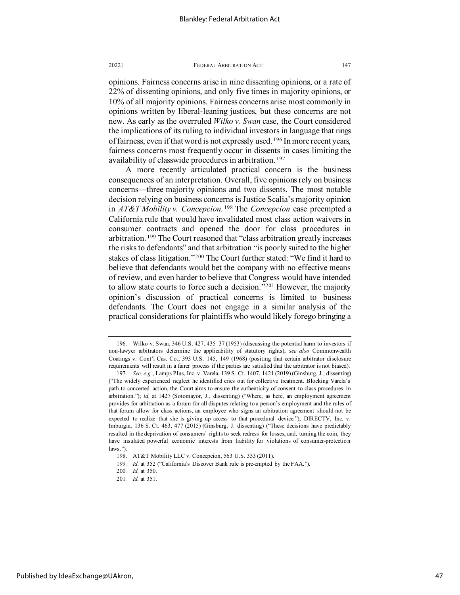opinions. Fairness concerns arise in nine dissenting opinions, or a rate of 22% of dissenting opinions, and only five times in majority opinions, or 10% of all majority opinions. Fairness concerns arise most commonly in opinions written by liberal-leaning justices, but these concerns are not new. As early as the overruled *Wilko v. Swan* case, the Court considered the implications of its ruling to individual investors in language that rings of fairness, even if that word is not expressly used. [196](#page-47-0) In more recent years, fairness concerns most frequently occur in dissents in cases limiting the availability of classwide procedures in arbitration. [197](#page-47-1)

A more recently articulated practical concern is the business consequences of an interpretation. Overall, five opinions rely on business concerns—three majority opinions and two dissents. The most notable decision relying on business concerns is Justice Scalia's majority opinion in *AT&T Mobility v. Concepcion.* [198](#page-47-2) The *Concepcion* case preempted a California rule that would have invalidated most class action waivers in consumer contracts and opened the door for class procedures in arbitration. [199](#page-47-3) The Court reasoned that "class arbitration greatly increases the risks to defendants" and that arbitration "is poorly suited to the higher stakes of class litigation."[200](#page-47-4) The Court further stated: "We find it hard to believe that defendants would bet the company with no effective means of review, and even harder to believe that Congress would have intended to allow state courts to force such a decision."[201](#page-47-5) However, the majority opinion's discussion of practical concerns is limited to business defendants. The Court does not engage in a similar analysis of the practical considerations for plaintiffs who would likely forego bringing a

<span id="page-47-0"></span><sup>196.</sup> Wilko v. Swan, 346 U.S. 427, 435–37 (1953) (discussing the potential harm to investors if non-lawyer arbitrators determine the applicability of statutory rights); *see also* Commonwealth Coatings v. Cont'l Cas. Co., 393 U.S. 145, 149 (1968) (positing that certain arbitrator disclosure requirements will result in a fairer process if the parties are satisfied that the arbitrator is not biased).

<span id="page-47-1"></span><sup>197</sup>*. See, e.g.*, Lamps Plus, Inc. v. Varela, 139 S. Ct. 1407, 1421 (2019) (Ginsburg, J., dissenting) ("The widely experienced neglect he identified cries out for collective treatment. Blocking Varela's path to concerted action, the Court aims to ensure the authenticity of consent to class procedures in arbitration."); *id.* at 1427 (Sotomayor, J., dissenting) ("Where, as here, an employment agreement provides for arbitration as a forum for all disputes relating to a person's employment and the rules of that forum allow for class actions, an employee who signs an arbitration agreement should not be expected to realize that she is giving up access to that procedural device."); DIRECTV, Inc. v. Imburgia, 136 S. Ct. 463, 477 (2015) (Ginsburg, J. dissenting) ("These decisions have predictably resulted in the deprivation of consumers' rights to seek redress for losses, and, turning the coin, they have insulated powerful economic interests from liability for violations of consumer-protection laws.").

<sup>198.</sup> AT&T Mobility LLC v. Concepcion, 563 U.S. 333 (2011).

<sup>199</sup>*. Id.* at 352 ("California's Discover Bank rule is pre-empted by the FAA.").

<span id="page-47-4"></span><span id="page-47-3"></span><span id="page-47-2"></span><sup>200</sup>*. Id.* at 350.

<span id="page-47-5"></span><sup>201</sup>*. Id.* at 351.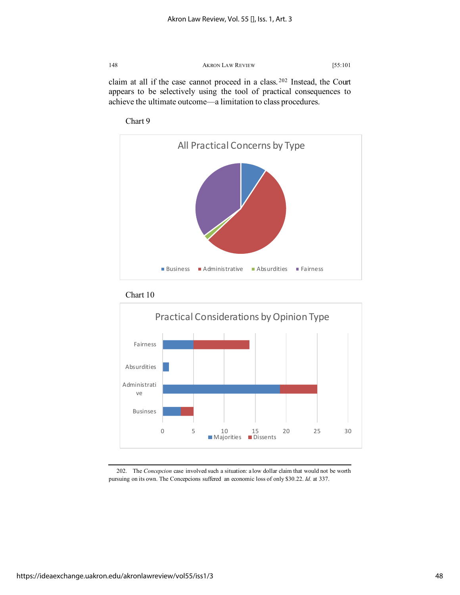claim at all if the case cannot proceed in a class. [202](#page-48-0) Instead, the Court appears to be selectively using the tool of practical consequences to achieve the ultimate outcome—a limitation to class procedures.









<span id="page-48-0"></span>202. The *Concepcion* case involved such a situation: a low dollar claim that would not be worth pursuing on its own. The Concepcions suffered an economic loss of only \$30.22. *Id.* at 337.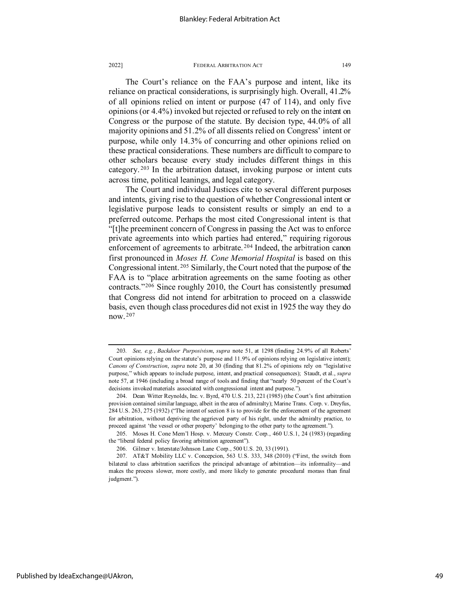The Court's reliance on the FAA's purpose and intent, like its reliance on practical considerations, is surprisingly high. Overall, 41.2% of all opinions relied on intent or purpose (47 of 114), and only five opinions (or 4.4%) invoked but rejected or refused to rely on the intent on Congress or the purpose of the statute. By decision type, 44.0% of all majority opinions and 51.2% of all dissents relied on Congress' intent or purpose, while only 14.3% of concurring and other opinions relied on these practical considerations. These numbers are difficult to compare to other scholars because every study includes different things in this category. [203](#page-49-0) In the arbitration dataset, invoking purpose or intent cuts across time, political leanings, and legal category.

The Court and individual Justices cite to several different purposes and intents, giving rise to the question of whether Congressional intent or legislative purpose leads to consistent results or simply an end to a preferred outcome. Perhaps the most cited Congressional intent is that "[t]he preeminent concern of Congress in passing the Act was to enforce private agreements into which parties had entered," requiring rigorous enforcement of agreements to arbitrate.<sup>[204](#page-49-1)</sup> Indeed, the arbitration canon first pronounced in *Moses H. Cone Memorial Hospital* is based on this Congressional intent. [205](#page-49-2) Similarly, the Court noted that the purpose of the FAA is to "place arbitration agreements on the same footing as other contracts."[206](#page-49-3) Since roughly 2010, the Court has consistently presumed that Congress did not intend for arbitration to proceed on a classwide basis, even though class procedures did not exist in 1925 the way they do now. [207](#page-49-4)

<span id="page-49-0"></span><sup>203</sup>*. See, e.g.*, *Backdoor Purposivism*, *supra* note 51, at 1298 (finding 24.9% of all Roberts' Court opinions relying on the statute's purpose and 11.9% of opinions relying on legislative intent); *Canons of Construction*, *supra* note 20, at 30 (finding that 81.2% of opinions rely on "legislative purpose," which appears to include purpose, intent, and practical consequences); Staudt, et al., *supra*  note 57, at 1946 (including a broad range of tools and finding that "nearly 50 percent of the Court's decisions invoked materials associated with congressional intent and purpose.").

<span id="page-49-1"></span><sup>204.</sup> Dean Witter Reynolds, Inc. v. Byrd, 470 U.S. 213, 221 (1985) (the Court's first arbitration provision contained similar language, albeit in the area of admiralty); Marine Trans. Corp. v. Dreyfus, 284 U.S. 263, 275 (1932) ("The intent of section 8 is to provide for the enforcement of the agreement for arbitration, without depriving the aggrieved party of his right, under the admiralty practice, to proceed against 'the vessel or other property' belonging to the other party to the agreement.").

<span id="page-49-2"></span><sup>205.</sup> Moses H. Cone Mem'l Hosp. v. Mercury Constr. Corp., 460 U.S.1, 24 (1983) (regarding the "liberal federal policy favoring arbitration agreement").

<sup>206.</sup> Gilmer v. Interstate/Johnson Lane Corp., 500 U.S. 20, 33 (1991).

<span id="page-49-4"></span><span id="page-49-3"></span><sup>207.</sup> AT&T Mobility LLC v. Concepcion, 563 U.S. 333, 348 (2010) ("First, the switch from bilateral to class arbitration sacrifices the principal advantage of arbitration—its informality—and makes the process slower, more costly, and more likely to generate procedural morass than final judgment.").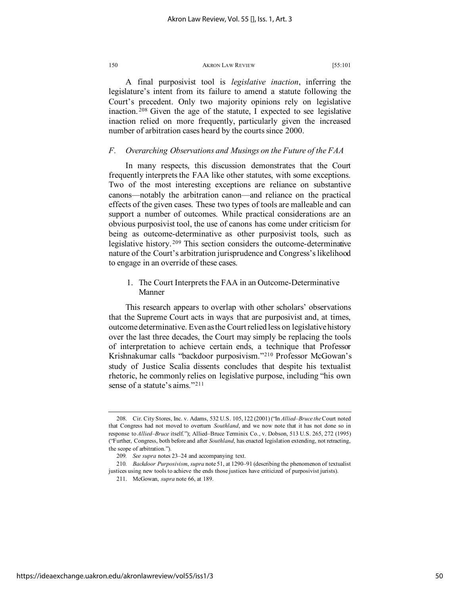A final purposivist tool is *legislative inaction*, inferring the legislature's intent from its failure to amend a statute following the Court's precedent. Only two majority opinions rely on legislative inaction. [208](#page-50-0) Given the age of the statute, I expected to see legislative inaction relied on more frequently, particularly given the increased number of arbitration cases heard by the courts since 2000.

# *F. Overarching Observations and Musings on the Future of the FAA*

In many respects, this discussion demonstrates that the Court frequently interprets the FAA like other statutes, with some exceptions. Two of the most interesting exceptions are reliance on substantive canons—notably the arbitration canon—and reliance on the practical effects of the given cases. These two types of tools are malleable and can support a number of outcomes. While practical considerations are an obvious purposivist tool, the use of canons has come under criticism for being as outcome-determinative as other purposivist tools, such as legislative history. [209](#page-50-1) This section considers the outcome-determinative nature of the Court's arbitration jurisprudence and Congress's likelihood to engage in an override of these cases.

# 1. The Court Interprets the FAA in an Outcome-Determinative Manner

This research appears to overlap with other scholars' observations that the Supreme Court acts in ways that are purposivist and, at times, outcome determinative. Even as the Court relied less on legislative history over the last three decades, the Court may simply be replacing the tools of interpretation to achieve certain ends, a technique that Professor Krishnakumar calls "backdoor purposivism."[210](#page-50-2) Professor McGowan's study of Justice Scalia dissents concludes that despite his textualist rhetoric, he commonly relies on legislative purpose, including "his own sense of a statute's aims."<sup>[211](#page-50-3)</sup>

<span id="page-50-0"></span><sup>208.</sup> Cir. City Stores, Inc. v. Adams, 532 U.S. 105, 122 (2001) ("In *Allied–Bruce the*Court noted that Congress had not moved to overturn *Southland*, and we now note that it has not done so in response to *Allied–Bruce* itself."); Allied–Bruce Terminix Co., v. Dobson, 513 U.S. 265, 272 (1995) ("Further, Congress, both before and after *Southland*, has enacted legislation extending, not retracting, the scope of arbitration.").

<sup>209</sup>*. See supra* notes 23–24 and accompanying text.

<span id="page-50-3"></span><span id="page-50-2"></span><span id="page-50-1"></span><sup>210</sup>*. Backdoor Purposivism*, *supra* note 51, at 1290–91 (describing the phenomenon of textualist justices using new tools to achieve the ends those justices have criticized of purposivist jurists).

<sup>211.</sup> McGowan, *supra* note 66, at 189.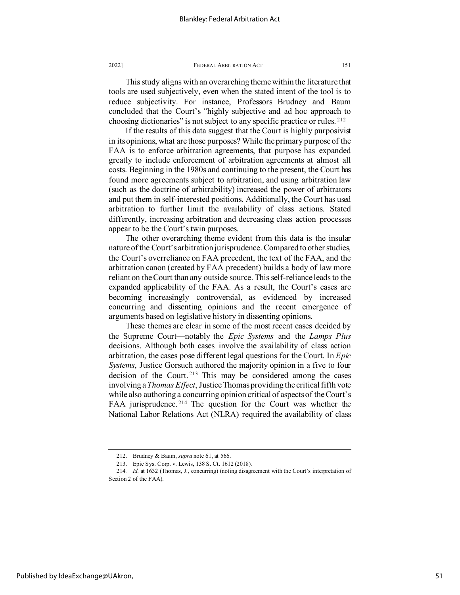This study aligns with an overarching theme within the literature that tools are used subjectively, even when the stated intent of the tool is to reduce subjectivity. For instance, Professors Brudney and Baum concluded that the Court's "highly subjective and ad hoc approach to choosing dictionaries" is not subject to any specific practice or rules. [212](#page-51-0)

If the results of this data suggest that the Court is highly purposivist in its opinions, what are those purposes? While the primary purpose of the FAA is to enforce arbitration agreements, that purpose has expanded greatly to include enforcement of arbitration agreements at almost all costs. Beginning in the 1980s and continuing to the present, the Court has found more agreements subject to arbitration, and using arbitration law (such as the doctrine of arbitrability) increased the power of arbitrators and put them in self-interested positions. Additionally, the Court has used arbitration to further limit the availability of class actions. Stated differently, increasing arbitration and decreasing class action processes appear to be the Court's twin purposes.

The other overarching theme evident from this data is the insular nature of the Court's arbitration jurisprudence. Compared to other studies, the Court's overreliance on FAA precedent, the text of the FAA, and the arbitration canon (created by FAA precedent) builds a body of law more reliant on the Court than any outside source. This self-reliance leads to the expanded applicability of the FAA. As a result, the Court's cases are becoming increasingly controversial, as evidenced by increased concurring and dissenting opinions and the recent emergence of arguments based on legislative history in dissenting opinions.

These themes are clear in some of the most recent cases decided by the Supreme Court—notably the *Epic Systems* and the *Lamps Plus* decisions. Although both cases involve the availability of class action arbitration, the cases pose different legal questions for the Court. In *Epic Systems*, Justice Gorsuch authored the majority opinion in a five to four decision of the Court. [213](#page-51-1) This may be considered among the cases involving a *Thomas Effect*, Justice Thomas providing the critical fifth vote while also authoring a concurring opinion critical of aspects of the Court's FAA jurisprudence. [214](#page-51-2) The question for the Court was whether the National Labor Relations Act (NLRA) required the availability of class

<sup>212.</sup> Brudney & Baum, *supra* note 61, at 566.

<sup>213.</sup> Epic Sys. Corp. v. Lewis, 138 S. Ct. 1612 (2018).

<span id="page-51-2"></span><span id="page-51-1"></span><span id="page-51-0"></span><sup>214</sup>*. Id.* at 1632 (Thomas, J., concurring) (noting disagreement with the Court's interpretation of Section 2 of the FAA).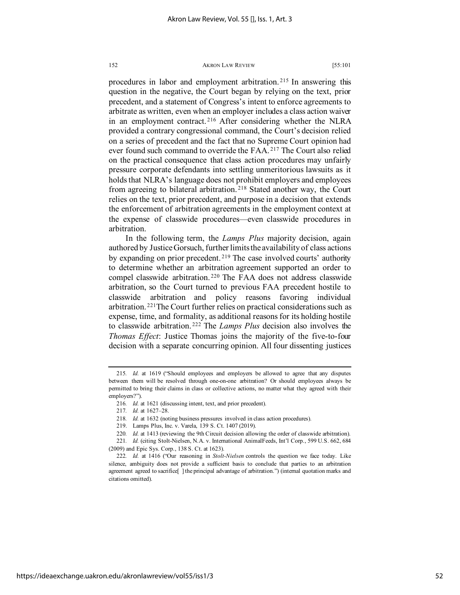procedures in labor and employment arbitration. [215](#page-52-0) In answering this question in the negative, the Court began by relying on the text, prior precedent, and a statement of Congress's intent to enforce agreements to arbitrate as written, even when an employer includes a class action waiver in an employment contract. [216](#page-52-1) After considering whether the NLRA provided a contrary congressional command, the Court's decision relied on a series of precedent and the fact that no Supreme Court opinion had ever found such command to override the FAA. [217](#page-52-2) The Court also relied on the practical consequence that class action procedures may unfairly pressure corporate defendants into settling unmeritorious lawsuits as it holds that NLRA's language does not prohibit employers and employees from agreeing to bilateral arbitration. [218](#page-52-3) Stated another way, the Court relies on the text, prior precedent, and purpose in a decision that extends the enforcement of arbitration agreements in the employment context at the expense of classwide procedures—even classwide procedures in arbitration.

In the following term, the *Lamps Plus* majority decision, again authored by Justice Gorsuch, further limits the availability of class actions by expanding on prior precedent.<sup>[219](#page-52-4)</sup> The case involved courts' authority to determine whether an arbitration agreement supported an order to compel classwide arbitration. [220](#page-52-5) The FAA does not address classwide arbitration, so the Court turned to previous FAA precedent hostile to classwide arbitration and policy reasons favoring individual arbitration. [221](#page-52-6)The Court further relies on practical considerations such as expense, time, and formality, as additional reasons for its holding hostile to classwide arbitration. [222](#page-52-7) The *Lamps Plus* decision also involves the *Thomas Effect*: Justice Thomas joins the majority of the five-to-four decision with a separate concurring opinion. All four dissenting justices

<span id="page-52-1"></span><span id="page-52-0"></span><sup>215</sup>*. Id.* at 1619 ("Should employees and employers be allowed to agree that any disputes between them will be resolved through one-on-one arbitration? Or should employees always be permitted to bring their claims in class or collective actions, no matter what they agreed with their employers?").

<sup>216</sup>*. Id.* at 1621 (discussing intent, text, and prior precedent).

<sup>217</sup>*. Id.* at 1627–28.

<sup>218</sup>*. Id.* at 1632 (noting business pressures involved in class action procedures).

<sup>219.</sup> Lamps Plus, Inc. v. Varela, 139 S. Ct. 1407 (2019).

<sup>220</sup>*. Id.* at 1413 (reviewing the 9th Circuit decision allowing the order of classwide arbitration).

<span id="page-52-6"></span><span id="page-52-5"></span><span id="page-52-4"></span><span id="page-52-3"></span><span id="page-52-2"></span><sup>221</sup>*. Id.* (citing Stolt-Nielsen, N.A. v. International AnimalFeeds, Int'l Corp., 599 U.S. 662, 684 (2009) and Epic Sys. Corp., 138 S. Ct. at 1623).

<span id="page-52-7"></span><sup>222</sup>*. Id.* at 1416 ("Our reasoning in *Stolt-Nielsen* controls the question we face today. Like silence, ambiguity does not provide a sufficient basis to conclude that parties to an arbitration agreement agreed to sacrifice[ ] the principal advantage of arbitration.") (internal quotation marks and citations omitted).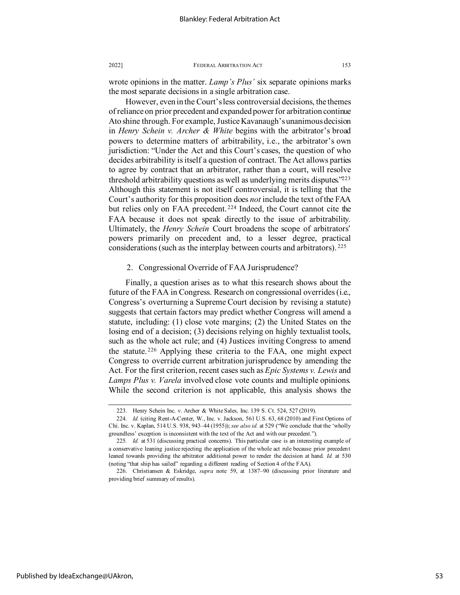wrote opinions in the matter. *Lamp's Plus'* six separate opinions marks the most separate decisions in a single arbitration case.

However, even in the Court's less controversial decisions, the themes of reliance on prior precedent and expanded power for arbitration continue Ato shine through. For example, Justice Kavanaugh's unanimous decision in *Henry Schein v. Archer & White* begins with the arbitrator's broad powers to determine matters of arbitrability, i.e., the arbitrator's own jurisdiction: "Under the Act and this Court's cases, the question of who decides arbitrability is itself a question of contract. The Act allows parties to agree by contract that an arbitrator, rather than a court, will resolve threshold arbitrability questions as well as underlying merits disputes.<sup> $223$ </sup> Although this statement is not itself controversial, it is telling that the Court's authority for this proposition does *not* include the text of the FAA but relies only on FAA precedent. [224](#page-53-1) Indeed, the Court cannot cite the FAA because it does not speak directly to the issue of arbitrability. Ultimately, the *Henry Schein* Court broadens the scope of arbitrators' powers primarily on precedent and, to a lesser degree, practical considerations (such as the interplay between courts and arbitrators). [225](#page-53-2) 

# 2. Congressional Override of FAA Jurisprudence?

Finally, a question arises as to what this research shows about the future of the FAA in Congress. Research on congressional overrides (i.e., Congress's overturning a Supreme Court decision by revising a statute) suggests that certain factors may predict whether Congress will amend a statute, including: (1) close vote margins; (2) the United States on the losing end of a decision; (3) decisions relying on highly textualist tools, such as the whole act rule; and (4) Justices inviting Congress to amend the statute. [226](#page-53-3) Applying these criteria to the FAA, one might expect Congress to override current arbitration jurisprudence by amending the Act. For the first criterion, recent cases such as *Epic Systems v. Lewis* and *Lamps Plus v. Varela* involved close vote counts and multiple opinions. While the second criterion is not applicable, this analysis shows the

<sup>223.</sup> Henry Schein Inc. v. Archer & White Sales, Inc. 139 S. Ct. 524, 527 (2019).

<span id="page-53-1"></span><span id="page-53-0"></span><sup>224</sup>*. Id.* (citing Rent-A-Center, W., Inc. v. Jackson, 561 U.S. 63, 68 (2010) and First Options of Chi. Inc. v. Kaplan, 514 U.S. 938, 943–44 (1955)); *see also id.* at 529 ("We conclude that the 'wholly groundless' exception is inconsistent with the text of the Act and with our precedent.").

<span id="page-53-2"></span><sup>225</sup>*. Id.* at 531 (discussing practical concerns). This particular case is an interesting example of a conservative leaning justice rejecting the application of the whole act rule because prior precedent leaned towards providing the arbitrator additional power to render the decision at hand. *Id.* at 530 (noting "that ship has sailed" regarding a different reading of Section 4 of the FAA).

<span id="page-53-3"></span><sup>226.</sup> Christiansen & Eskridge, *supra* note 59, at 1387–90 (discussing prior literature and providing brief summary of results).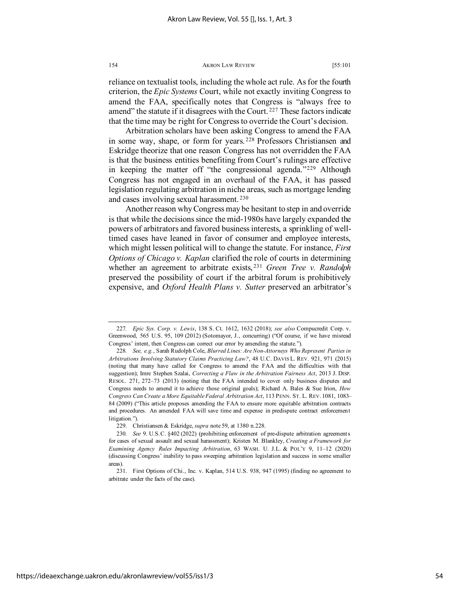reliance on textualist tools, including the whole act rule. As for the fourth criterion, the *Epic Systems* Court, while not exactly inviting Congress to amend the FAA, specifically notes that Congress is "always free to amend" the statute if it disagrees with the Court.<sup>[227](#page-54-0)</sup> These factors indicate that the time may be right for Congress to override the Court's decision.

Arbitration scholars have been asking Congress to amend the FAA in some way, shape, or form for years. [228](#page-54-1) Professors Christiansen and Eskridge theorize that one reason Congress has not overridden the FAA is that the business entities benefiting from Court's rulings are effective in keeping the matter off "the congressional agenda."[229](#page-54-2) Although Congress has not engaged in an overhaul of the FAA, it has passed legislation regulating arbitration in niche areas, such as mortgage lending and cases involving sexual harassment. [230](#page-54-3)

Another reason why Congress may be hesitant to step in and override is that while the decisions since the mid-1980s have largely expanded the powers of arbitrators and favored business interests, a sprinkling of welltimed cases have leaned in favor of consumer and employee interests, which might lessen political will to change the statute. For instance, *First Options of Chicago v. Kaplan* clarified the role of courts in determining whether an agreement to arbitrate exists, [231](#page-54-4) *Green Tree v. Randolph* preserved the possibility of court if the arbitral forum is prohibitively expensive, and *Oxford Health Plans v. Sutter* preserved an arbitrator's

<span id="page-54-0"></span><sup>227</sup>*. Epic Sys. Corp. v. Lewis*, 138 S. Ct. 1612, 1632 (2018); *see also* Compucredit Corp. v. Greenwood, 565 U.S. 95, 109 (2012) (Sotomayor, J., concurring) ("Of course, if we have misread Congress' intent, then Congress can correct our error by amending the statute.").

<span id="page-54-1"></span><sup>228</sup>*. See, e.g.*, Sarah Rudolph Cole, *Blurred Lines: Are Non-Attorneys Who Represent Parties in Arbitrations Involving Statutory Claims Practicing Law?*, 48 U.C. DAVIS L. REV. 921, 971 (2015) (noting that many have called for Congress to amend the FAA and the difficulties with that suggestion); Imre Stephen Szalai, *Correcting a Flaw in the Arbitration Fairness Act*, 2013 J. DISP. RESOL. 271, 272–73 (2013) (noting that the FAA intended to cover only business disputes and Congress needs to amend it to achieve those original goals); Richard A. Bales & Sue Irion, *How Congress Can Create a More Equitable Federal Arbitration Act*, 113 PENN. ST. L. REV. 1081, 1083– 84 (2009) ("This article proposes amending the FAA to ensure more equitable arbitration contracts and procedures. An amended FAA will save time and expense in predispute contract enforcement litigation.").

<sup>229.</sup> Christiansen & Eskridge, *supra* note 59, at 1380 n.228.

<span id="page-54-3"></span><span id="page-54-2"></span><sup>230</sup>*. See* 9. U.S.C. §402 (2022) (prohibiting enforcement of pre-dispute arbitration agreements for cases of sexual assault and sexual harassment); Kristen M. Blankley, *Creating a Framework for Examining Agency Rules Impacting Arbitration*, 63 WASH. U. J.L. & POL'Y 9, 11–12 (2020) (discussing Congress' inability to pass sweeping arbitration legislation and success in some smaller areas).

<span id="page-54-4"></span><sup>231.</sup> First Options of Chi., Inc. v. Kaplan, 514 U.S. 938, 947 (1995) (finding no agreement to arbitrate under the facts of the case).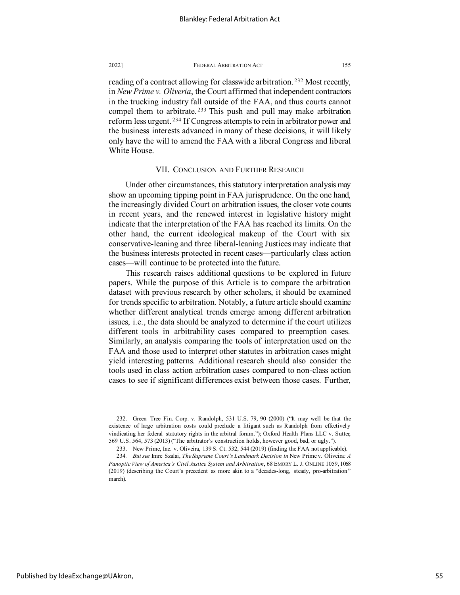reading of a contract allowing for classwide arbitration.<sup>[232](#page-55-0)</sup> Most recently, in *New Prime v. Oliveria*, the Court affirmed that independent contractors in the trucking industry fall outside of the FAA, and thus courts cannot compel them to arbitrate.<sup>[233](#page-55-1)</sup> This push and pull may make arbitration reform less urgent. [234](#page-55-2) If Congress attempts to rein in arbitrator power and the business interests advanced in many of these decisions, it will likely only have the will to amend the FAA with a liberal Congress and liberal White House.

# VII. CONCLUSION AND FURTHER RESEARCH

Under other circumstances, this statutory interpretation analysis may show an upcoming tipping point in FAA jurisprudence. On the one hand, the increasingly divided Court on arbitration issues, the closer vote counts in recent years, and the renewed interest in legislative history might indicate that the interpretation of the FAA has reached its limits. On the other hand, the current ideological makeup of the Court with six conservative-leaning and three liberal-leaning Justices may indicate that the business interests protected in recent cases—particularly class action cases—will continue to be protected into the future.

This research raises additional questions to be explored in future papers. While the purpose of this Article is to compare the arbitration dataset with previous research by other scholars, it should be examined for trends specific to arbitration. Notably, a future article should examine whether different analytical trends emerge among different arbitration issues, i.e., the data should be analyzed to determine if the court utilizes different tools in arbitrability cases compared to preemption cases. Similarly, an analysis comparing the tools of interpretation used on the FAA and those used to interpret other statutes in arbitration cases might yield interesting patterns. Additional research should also consider the tools used in class action arbitration cases compared to non-class action cases to see if significant differences exist between those cases. Further,

<span id="page-55-0"></span><sup>232.</sup> Green Tree Fin. Corp. v. Randolph, 531 U.S. 79, 90 (2000) ("It may well be that the existence of large arbitration costs could preclude a litigant such as Randolph from effectively vindicating her federal statutory rights in the arbitral forum."); Oxford Health Plans LLC v. Sutter, 569 U.S. 564, 573 (2013) ("The arbitrator's construction holds, however good, bad, or ugly.").

<sup>233.</sup> New Prime, Inc. v. Oliveira, 139 S. Ct. 532, 544 (2019) (finding the FAA not applicable).

<span id="page-55-2"></span><span id="page-55-1"></span><sup>234</sup>*. But see* Imre Szalai, *The Supreme Court's Landmark Decision in* New Prime v. Oliveira*: A Panoptic View of America's Civil Justice System and Arbitration*, 68 EMORY L. J. ONLINE 1059, 1068 (2019) (describing the Court's precedent as more akin to a "decades-long, steady, pro-arbitration" march).